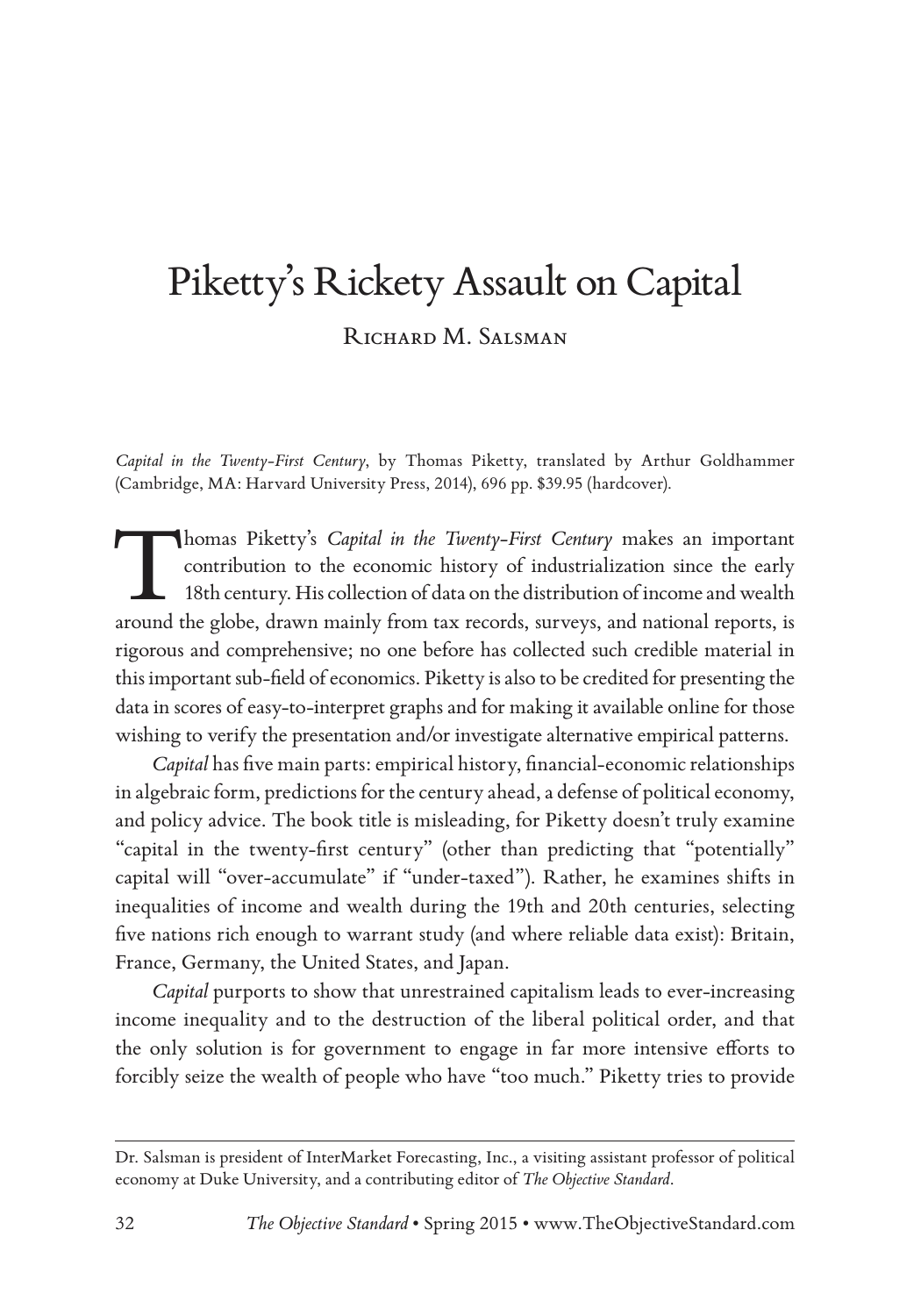# Piketty's Rickety Assault on Capital RICHARD M. SALSMAN

*Capital in the Twenty-First Century*, by Thomas Piketty, translated by Arthur Goldhammer (Cambridge, MA: Harvard University Press, 2014), 696 pp. \$39.95 (hardcover).

Thomas Piketty's *Capital in the Twenty-First Century* makes an important contribution to the economic history of industrialization since the early 18th century. His collection of data on the distribution of income and wea contribution to the economic history of industrialization since the early 18th century. His collection of data on the distribution of income and wealth around the globe, drawn mainly from tax records, surveys, and national reports, is rigorous and comprehensive; no one before has collected such credible material in this important sub-field of economics. Piketty is also to be credited for presenting the data in scores of easy-to-interpret graphs and for making it available online for those wishing to verify the presentation and/or investigate alternative empirical patterns.

*Capital* has five main parts: empirical history, financial-economic relationships in algebraic form, predictions for the century ahead, a defense of political economy, and policy advice. The book title is misleading, for Piketty doesn't truly examine "capital in the twenty-first century" (other than predicting that "potentially" capital will "over-accumulate" if "under-taxed"). Rather, he examines shifts in inequalities of income and wealth during the 19th and 20th centuries, selecting five nations rich enough to warrant study (and where reliable data exist): Britain, France, Germany, the United States, and Japan.

*Capital* purports to show that unrestrained capitalism leads to ever-increasing income inequality and to the destruction of the liberal political order, and that the only solution is for government to engage in far more intensive efforts to forcibly seize the wealth of people who have "too much." Piketty tries to provide

Dr. Salsman is president of InterMarket Forecasting, Inc., a visiting assistant professor of political economy at Duke University, and a contributing editor of *The Objective Standard*.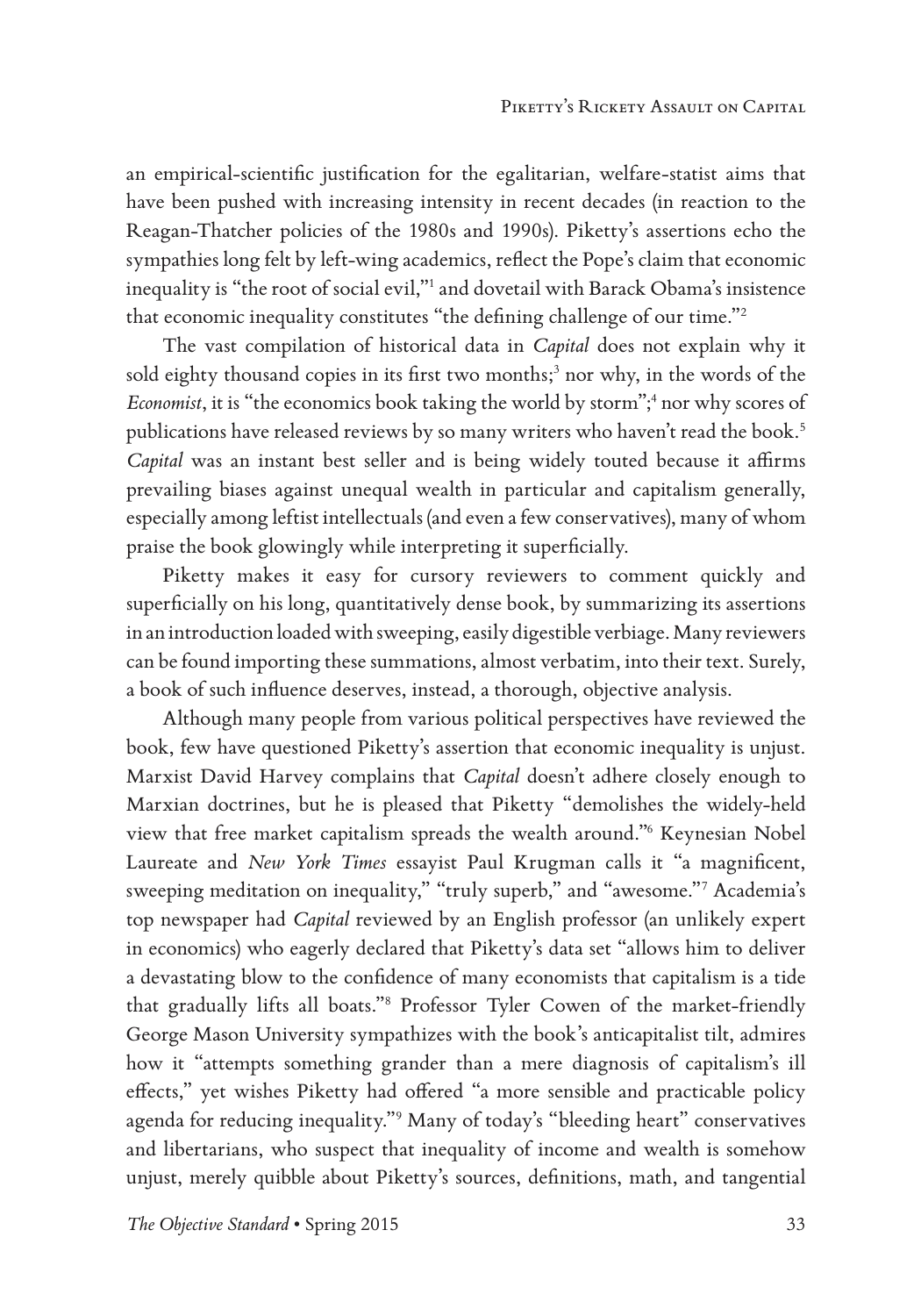an empirical-scientific justification for the egalitarian, welfare-statist aims that have been pushed with increasing intensity in recent decades (in reaction to the Reagan-Thatcher policies of the 1980s and 1990s). Piketty's assertions echo the sympathies long felt by left-wing academics, reflect the Pope's claim that economic inequality is "the root of social evil,"1 and dovetail with Barack Obama's insistence that economic inequality constitutes "the defining challenge of our time."2

The vast compilation of historical data in *Capital* does not explain why it sold eighty thousand copies in its first two months;<sup>3</sup> nor why, in the words of the Economist, it is "the economics book taking the world by storm";<sup>4</sup> nor why scores of publications have released reviews by so many writers who haven't read the book.<sup>5</sup> *Capital* was an instant best seller and is being widely touted because it affirms prevailing biases against unequal wealth in particular and capitalism generally, especially among leftist intellectuals (and even a few conservatives), many of whom praise the book glowingly while interpreting it superficially.

Piketty makes it easy for cursory reviewers to comment quickly and superficially on his long, quantitatively dense book, by summarizing its assertions in an introduction loaded with sweeping, easily digestible verbiage. Many reviewers can be found importing these summations, almost verbatim, into their text. Surely, a book of such influence deserves, instead, a thorough, objective analysis.

Although many people from various political perspectives have reviewed the book, few have questioned Piketty's assertion that economic inequality is unjust. Marxist David Harvey complains that *Capital* doesn't adhere closely enough to Marxian doctrines, but he is pleased that Piketty "demolishes the widely-held view that free market capitalism spreads the wealth around."6 Keynesian Nobel Laureate and *New York Times* essayist Paul Krugman calls it "a magnificent, sweeping meditation on inequality," "truly superb," and "awesome."7 Academia's top newspaper had *Capital* reviewed by an English professor (an unlikely expert in economics) who eagerly declared that Piketty's data set "allows him to deliver a devastating blow to the confidence of many economists that capitalism is a tide that gradually lifts all boats."8 Professor Tyler Cowen of the market-friendly George Mason University sympathizes with the book's anticapitalist tilt, admires how it "attempts something grander than a mere diagnosis of capitalism's ill effects," yet wishes Piketty had offered "a more sensible and practicable policy agenda for reducing inequality."9 Many of today's "bleeding heart" conservatives and libertarians, who suspect that inequality of income and wealth is somehow unjust, merely quibble about Piketty's sources, definitions, math, and tangential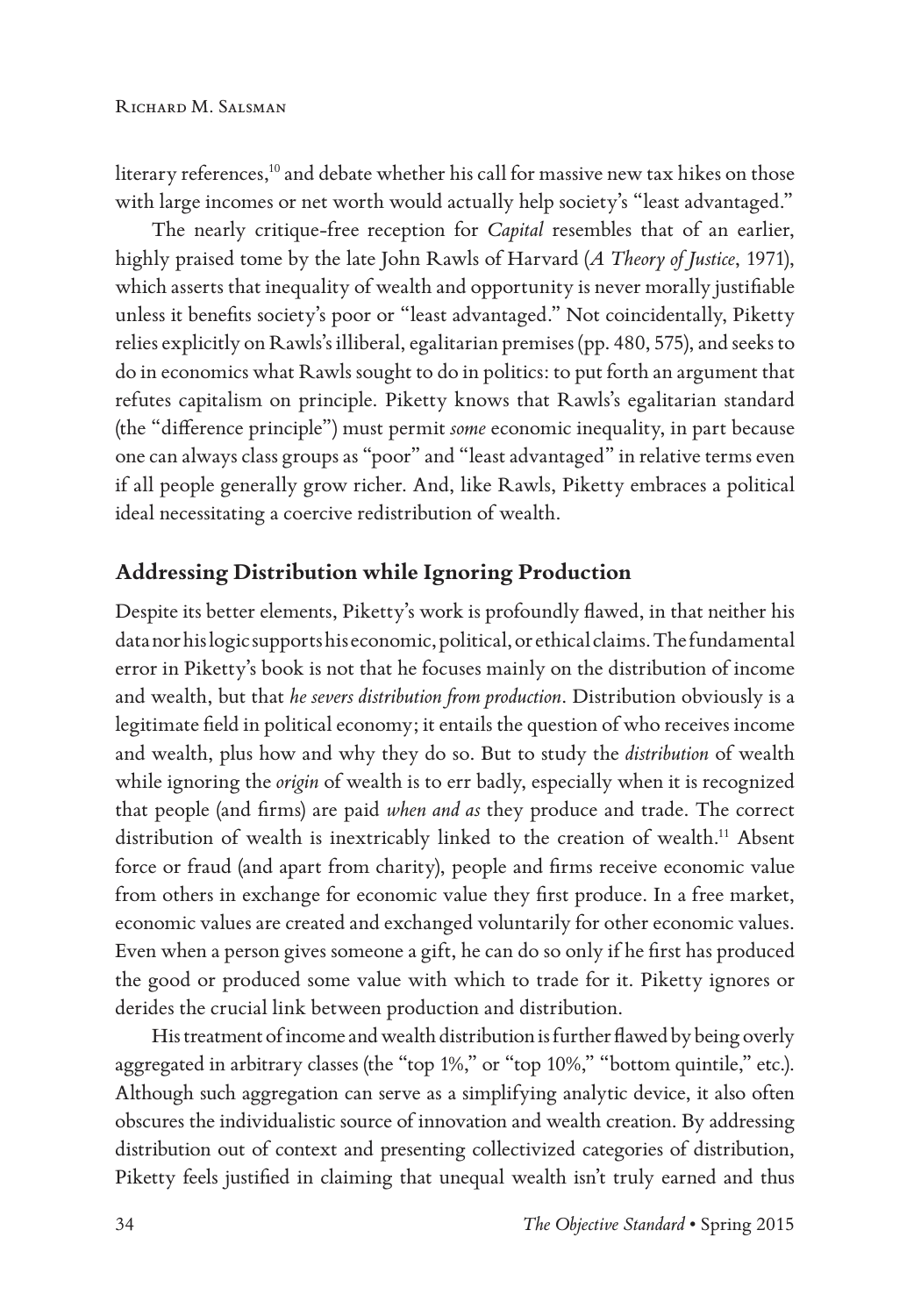literary references,<sup>10</sup> and debate whether his call for massive new tax hikes on those with large incomes or net worth would actually help society's "least advantaged."

The nearly critique-free reception for *Capital* resembles that of an earlier, highly praised tome by the late John Rawls of Harvard (*A Theory of Justice*, 1971), which asserts that inequality of wealth and opportunity is never morally justifiable unless it benefits society's poor or "least advantaged." Not coincidentally, Piketty relies explicitly on Rawls's illiberal, egalitarian premises (pp. 480, 575), and seeks to do in economics what Rawls sought to do in politics: to put forth an argument that refutes capitalism on principle. Piketty knows that Rawls's egalitarian standard (the "difference principle") must permit *some* economic inequality, in part because one can always class groups as "poor" and "least advantaged" in relative terms even if all people generally grow richer. And, like Rawls, Piketty embraces a political ideal necessitating a coercive redistribution of wealth.

## **Addressing Distribution while Ignoring Production**

Despite its better elements, Piketty's work is profoundly flawed, in that neither his data nor his logic supports his economic, political, or ethical claims. The fundamental error in Piketty's book is not that he focuses mainly on the distribution of income and wealth, but that *he severs distribution from production*. Distribution obviously is a legitimate field in political economy; it entails the question of who receives income and wealth, plus how and why they do so. But to study the *distribution* of wealth while ignoring the *origin* of wealth is to err badly, especially when it is recognized that people (and firms) are paid *when and as* they produce and trade. The correct distribution of wealth is inextricably linked to the creation of wealth.11 Absent force or fraud (and apart from charity), people and firms receive economic value from others in exchange for economic value they first produce. In a free market, economic values are created and exchanged voluntarily for other economic values. Even when a person gives someone a gift, he can do so only if he first has produced the good or produced some value with which to trade for it. Piketty ignores or derides the crucial link between production and distribution.

His treatment of income and wealth distribution is further flawed by being overly aggregated in arbitrary classes (the "top 1%," or "top 10%," "bottom quintile," etc.). Although such aggregation can serve as a simplifying analytic device, it also often obscures the individualistic source of innovation and wealth creation. By addressing distribution out of context and presenting collectivized categories of distribution, Piketty feels justified in claiming that unequal wealth isn't truly earned and thus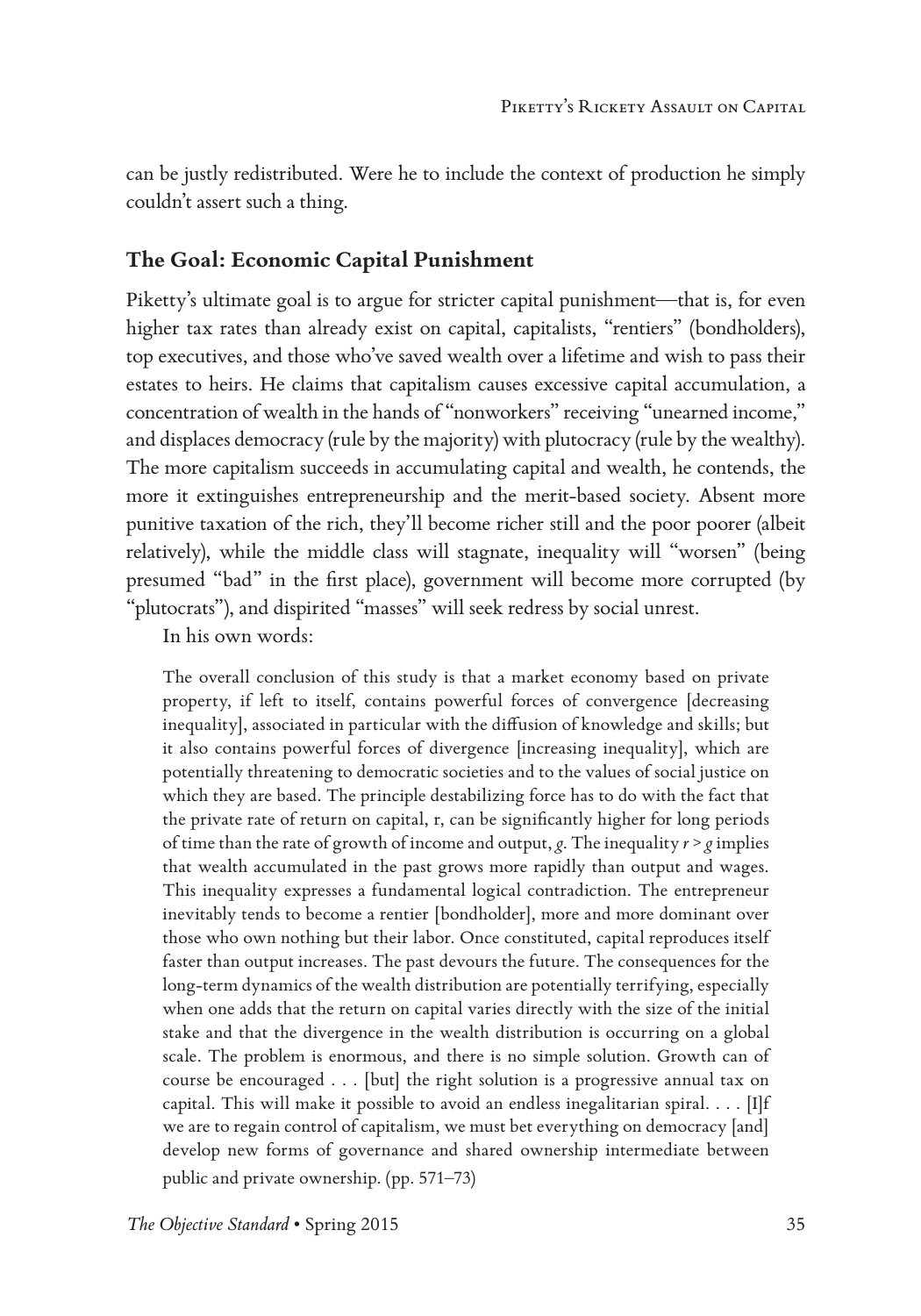can be justly redistributed. Were he to include the context of production he simply couldn't assert such a thing.

### **The Goal: Economic Capital Punishment**

Piketty's ultimate goal is to argue for stricter capital punishment—that is, for even higher tax rates than already exist on capital, capitalists, "rentiers" (bondholders), top executives, and those who've saved wealth over a lifetime and wish to pass their estates to heirs. He claims that capitalism causes excessive capital accumulation, a concentration of wealth in the hands of "nonworkers" receiving "unearned income," and displaces democracy (rule by the majority) with plutocracy (rule by the wealthy). The more capitalism succeeds in accumulating capital and wealth, he contends, the more it extinguishes entrepreneurship and the merit-based society. Absent more punitive taxation of the rich, they'll become richer still and the poor poorer (albeit relatively), while the middle class will stagnate, inequality will "worsen" (being presumed "bad" in the first place), government will become more corrupted (by "plutocrats"), and dispirited "masses" will seek redress by social unrest.

In his own words:

The overall conclusion of this study is that a market economy based on private property, if left to itself, contains powerful forces of convergence [decreasing inequality], associated in particular with the diffusion of knowledge and skills; but it also contains powerful forces of divergence [increasing inequality], which are potentially threatening to democratic societies and to the values of social justice on which they are based. The principle destabilizing force has to do with the fact that the private rate of return on capital, r, can be significantly higher for long periods of time than the rate of growth of income and output, *g*. The inequality *r* > *g* implies that wealth accumulated in the past grows more rapidly than output and wages. This inequality expresses a fundamental logical contradiction. The entrepreneur inevitably tends to become a rentier [bondholder], more and more dominant over those who own nothing but their labor. Once constituted, capital reproduces itself faster than output increases. The past devours the future. The consequences for the long-term dynamics of the wealth distribution are potentially terrifying, especially when one adds that the return on capital varies directly with the size of the initial stake and that the divergence in the wealth distribution is occurring on a global scale. The problem is enormous, and there is no simple solution. Growth can of course be encouraged . . . [but] the right solution is a progressive annual tax on capital. This will make it possible to avoid an endless inegalitarian spiral.  $\dots$  [I]f we are to regain control of capitalism, we must bet everything on democracy [and] develop new forms of governance and shared ownership intermediate between public and private ownership. (pp. 571–73)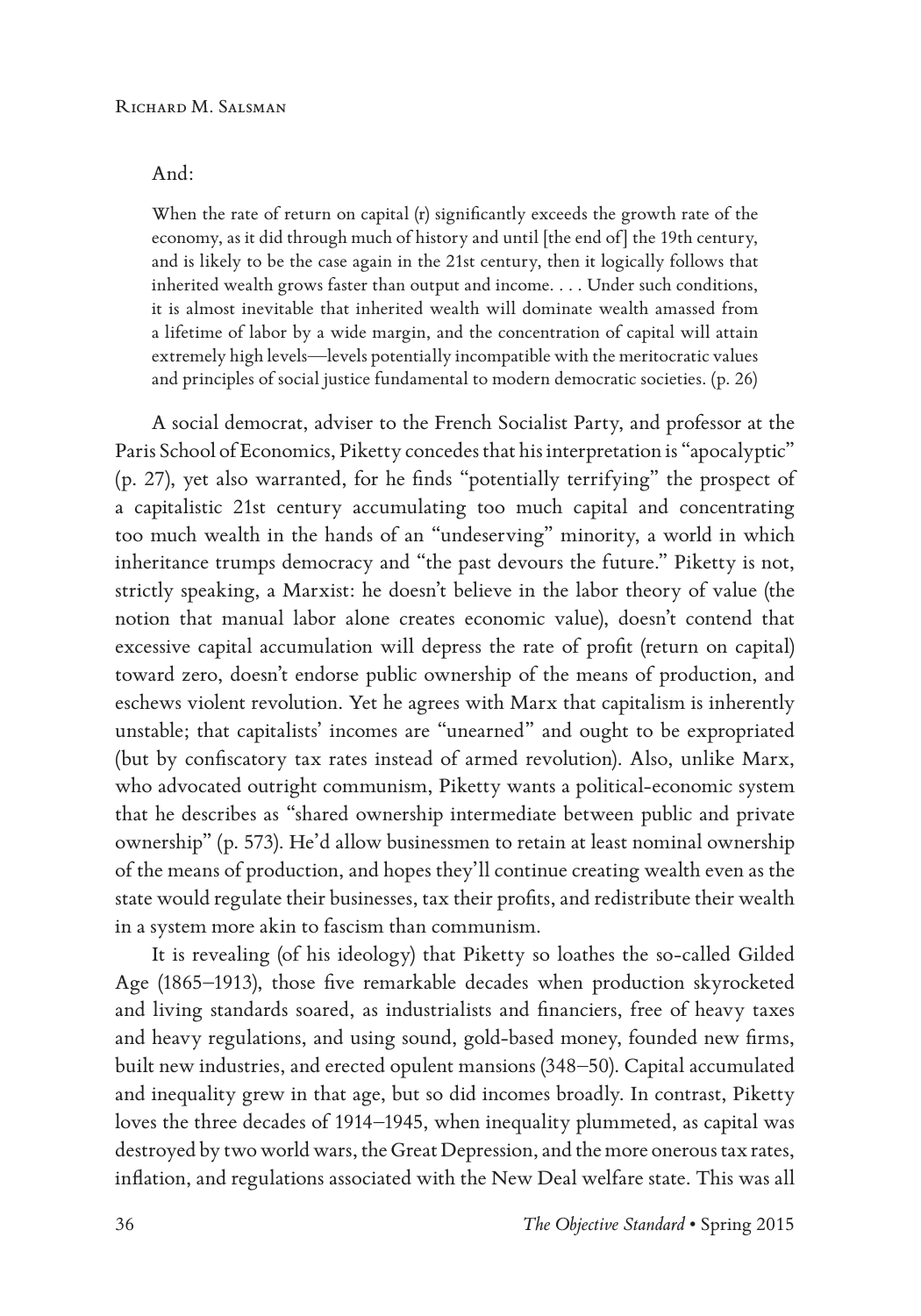#### And:

When the rate of return on capital (r) significantly exceeds the growth rate of the economy, as it did through much of history and until [the end of] the 19th century, and is likely to be the case again in the 21st century, then it logically follows that inherited wealth grows faster than output and income. . . . Under such conditions, it is almost inevitable that inherited wealth will dominate wealth amassed from a lifetime of labor by a wide margin, and the concentration of capital will attain extremely high levels—levels potentially incompatible with the meritocratic values and principles of social justice fundamental to modern democratic societies. (p. 26)

A social democrat, adviser to the French Socialist Party, and professor at the Paris School of Economics, Piketty concedes that his interpretation is "apocalyptic" (p. 27), yet also warranted, for he finds "potentially terrifying" the prospect of a capitalistic 21st century accumulating too much capital and concentrating too much wealth in the hands of an "undeserving" minority, a world in which inheritance trumps democracy and "the past devours the future." Piketty is not, strictly speaking, a Marxist: he doesn't believe in the labor theory of value (the notion that manual labor alone creates economic value), doesn't contend that excessive capital accumulation will depress the rate of profit (return on capital) toward zero, doesn't endorse public ownership of the means of production, and eschews violent revolution. Yet he agrees with Marx that capitalism is inherently unstable; that capitalists' incomes are "unearned" and ought to be expropriated (but by confiscatory tax rates instead of armed revolution). Also, unlike Marx, who advocated outright communism, Piketty wants a political-economic system that he describes as "shared ownership intermediate between public and private ownership" (p. 573). He'd allow businessmen to retain at least nominal ownership of the means of production, and hopes they'll continue creating wealth even as the state would regulate their businesses, tax their profits, and redistribute their wealth in a system more akin to fascism than communism.

It is revealing (of his ideology) that Piketty so loathes the so-called Gilded Age (1865–1913), those five remarkable decades when production skyrocketed and living standards soared, as industrialists and financiers, free of heavy taxes and heavy regulations, and using sound, gold-based money, founded new firms, built new industries, and erected opulent mansions (348–50). Capital accumulated and inequality grew in that age, but so did incomes broadly. In contrast, Piketty loves the three decades of 1914–1945, when inequality plummeted, as capital was destroyed by two world wars, the Great Depression, and the more onerous tax rates, inflation, and regulations associated with the New Deal welfare state. This was all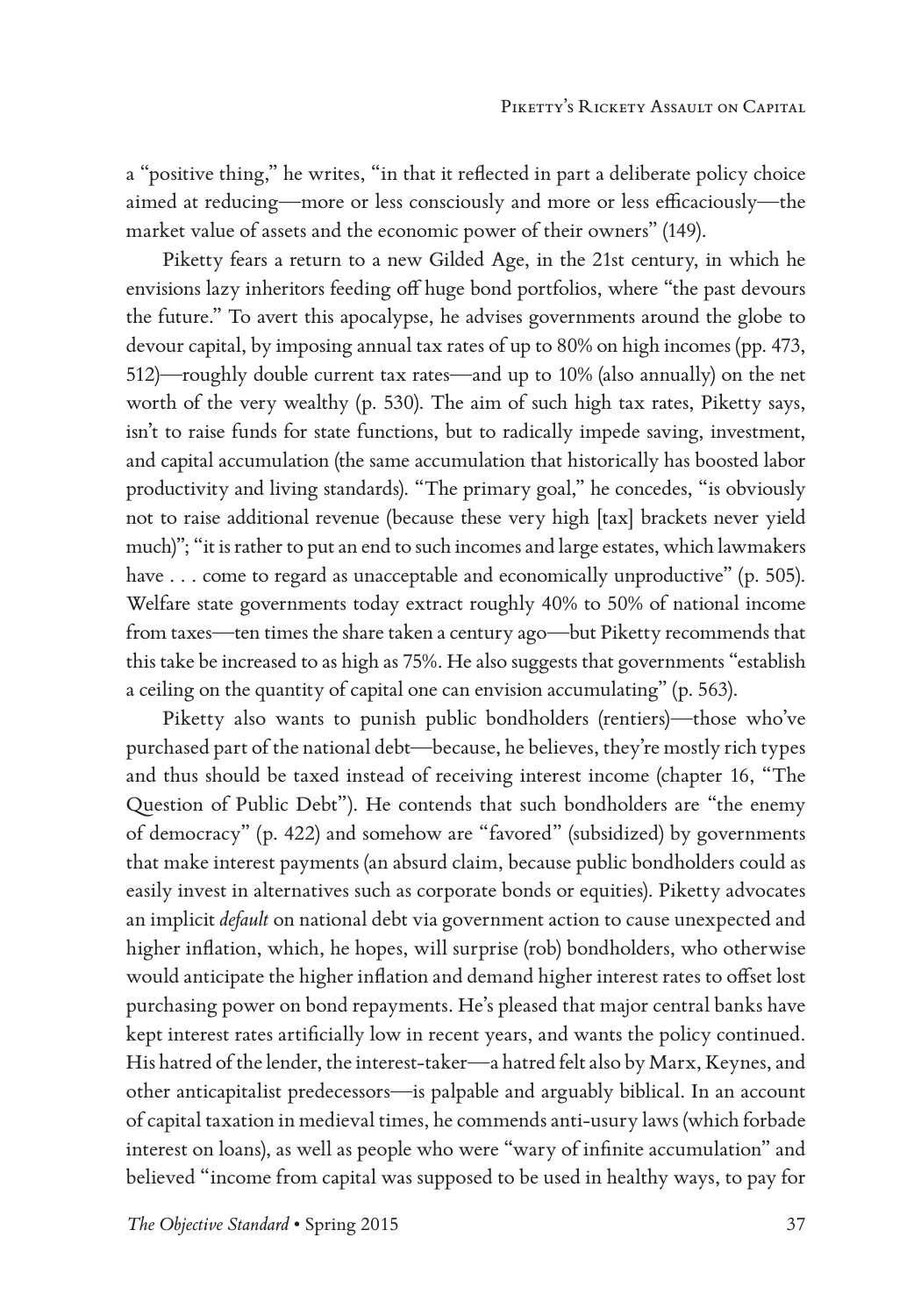a "positive thing," he writes, "in that it reflected in part a deliberate policy choice aimed at reducing—more or less consciously and more or less efficaciously—the market value of assets and the economic power of their owners" (149).

Piketty fears a return to a new Gilded Age, in the 21st century, in which he envisions lazy inheritors feeding off huge bond portfolios, where "the past devours the future." To avert this apocalypse, he advises governments around the globe to devour capital, by imposing annual tax rates of up to 80% on high incomes (pp. 473, 512)—roughly double current tax rates—and up to 10% (also annually) on the net worth of the very wealthy (p. 530). The aim of such high tax rates, Piketty says, isn't to raise funds for state functions, but to radically impede saving, investment, and capital accumulation (the same accumulation that historically has boosted labor productivity and living standards). "The primary goal," he concedes, "is obviously not to raise additional revenue (because these very high [tax] brackets never yield much)"; "it is rather to put an end to such incomes and large estates, which lawmakers have . . . come to regard as unacceptable and economically unproductive" (p. 505). Welfare state governments today extract roughly 40% to 50% of national income from taxes—ten times the share taken a century ago—but Piketty recommends that this take be increased to as high as 75%. He also suggests that governments "establish a ceiling on the quantity of capital one can envision accumulating" (p. 563).

Piketty also wants to punish public bondholders (rentiers)—those who've purchased part of the national debt—because, he believes, they're mostly rich types and thus should be taxed instead of receiving interest income (chapter 16, "The Question of Public Debt"). He contends that such bondholders are "the enemy of democracy" (p. 422) and somehow are "favored" (subsidized) by governments that make interest payments (an absurd claim, because public bondholders could as easily invest in alternatives such as corporate bonds or equities). Piketty advocates an implicit *default* on national debt via government action to cause unexpected and higher inflation, which, he hopes, will surprise (rob) bondholders, who otherwise would anticipate the higher inflation and demand higher interest rates to offset lost purchasing power on bond repayments. He's pleased that major central banks have kept interest rates artificially low in recent years, and wants the policy continued. His hatred of the lender, the interest-taker—a hatred felt also by Marx, Keynes, and other anticapitalist predecessors—is palpable and arguably biblical. In an account of capital taxation in medieval times, he commends anti-usury laws (which forbade interest on loans), as well as people who were "wary of infinite accumulation" and believed "income from capital was supposed to be used in healthy ways, to pay for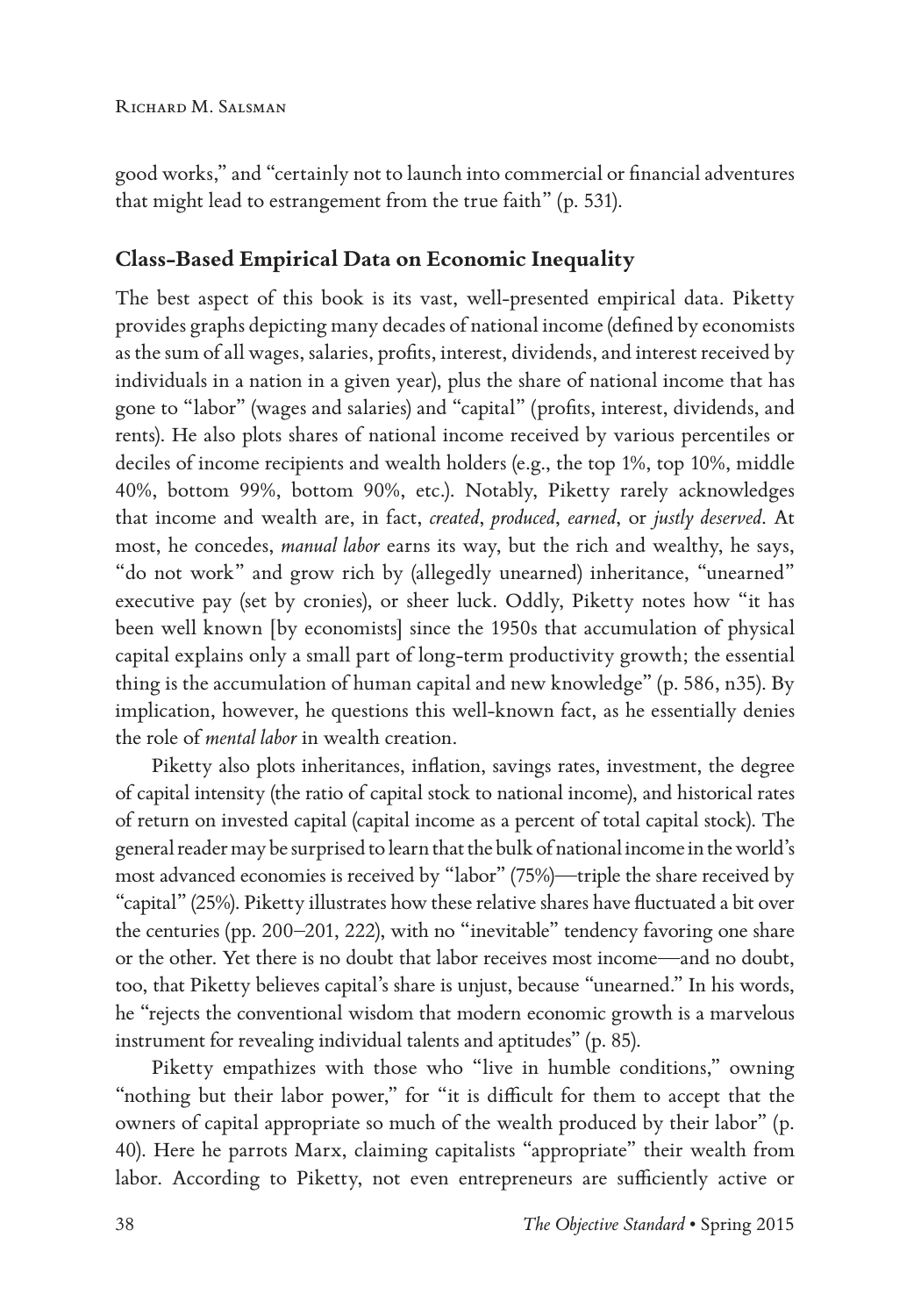good works," and "certainly not to launch into commercial or financial adventures that might lead to estrangement from the true faith" (p. 531).

## **Class-Based Empirical Data on Economic Inequality**

The best aspect of this book is its vast, well-presented empirical data. Piketty provides graphs depicting many decades of national income (defined by economists as the sum of all wages, salaries, profits, interest, dividends, and interest received by individuals in a nation in a given year), plus the share of national income that has gone to "labor" (wages and salaries) and "capital" (profits, interest, dividends, and rents). He also plots shares of national income received by various percentiles or deciles of income recipients and wealth holders (e.g., the top 1%, top 10%, middle 40%, bottom 99%, bottom 90%, etc.). Notably, Piketty rarely acknowledges that income and wealth are, in fact, *created*, *produced*, *earned*, or *justly deserved*. At most, he concedes, *manual labor* earns its way, but the rich and wealthy, he says, "do not work" and grow rich by (allegedly unearned) inheritance, "unearned" executive pay (set by cronies), or sheer luck. Oddly, Piketty notes how "it has been well known [by economists] since the 1950s that accumulation of physical capital explains only a small part of long-term productivity growth; the essential thing is the accumulation of human capital and new knowledge" (p. 586, n35). By implication, however, he questions this well-known fact, as he essentially denies the role of *mental labor* in wealth creation.

Piketty also plots inheritances, inflation, savings rates, investment, the degree of capital intensity (the ratio of capital stock to national income), and historical rates of return on invested capital (capital income as a percent of total capital stock). The general reader may be surprised to learn that the bulk of national income in the world's most advanced economies is received by "labor" (75%)—triple the share received by "capital" (25%). Piketty illustrates how these relative shares have fluctuated a bit over the centuries (pp. 200–201, 222), with no "inevitable" tendency favoring one share or the other. Yet there is no doubt that labor receives most income—and no doubt, too, that Piketty believes capital's share is unjust, because "unearned." In his words, he "rejects the conventional wisdom that modern economic growth is a marvelous instrument for revealing individual talents and aptitudes" (p. 85).

Piketty empathizes with those who "live in humble conditions," owning "nothing but their labor power," for "it is difficult for them to accept that the owners of capital appropriate so much of the wealth produced by their labor" (p. 40). Here he parrots Marx, claiming capitalists "appropriate" their wealth from labor. According to Piketty, not even entrepreneurs are sufficiently active or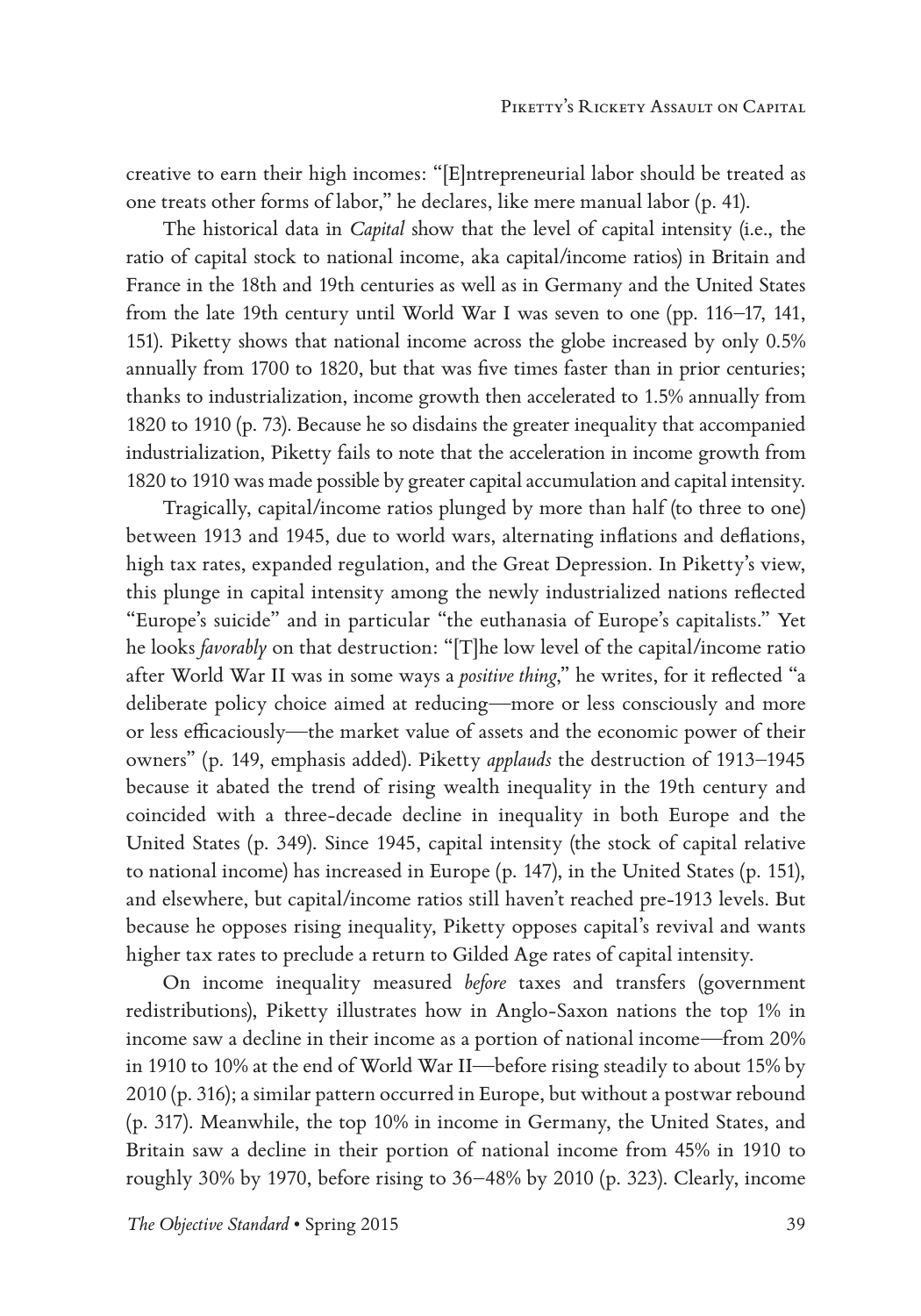creative to earn their high incomes: "[E]ntrepreneurial labor should be treated as one treats other forms of labor," he declares, like mere manual labor (p. 41).

The historical data in *Capital* show that the level of capital intensity (i.e., the ratio of capital stock to national income, aka capital/income ratios) in Britain and France in the 18th and 19th centuries as well as in Germany and the United States from the late 19th century until World War I was seven to one (pp. 116–17, 141, 151). Piketty shows that national income across the globe increased by only 0.5% annually from 1700 to 1820, but that was five times faster than in prior centuries; thanks to industrialization, income growth then accelerated to 1.5% annually from 1820 to 1910 (p. 73). Because he so disdains the greater inequality that accompanied industrialization, Piketty fails to note that the acceleration in income growth from 1820 to 1910 was made possible by greater capital accumulation and capital intensity.

Tragically, capital/income ratios plunged by more than half (to three to one) between 1913 and 1945, due to world wars, alternating inflations and deflations, high tax rates, expanded regulation, and the Great Depression. In Piketty's view, this plunge in capital intensity among the newly industrialized nations reflected "Europe's suicide" and in particular "the euthanasia of Europe's capitalists." Yet he looks *favorably* on that destruction: "[T]he low level of the capital/income ratio after World War II was in some ways a *positive thing*," he writes, for it reflected "a deliberate policy choice aimed at reducing—more or less consciously and more or less efficaciously—the market value of assets and the economic power of their owners" (p. 149, emphasis added). Piketty *applauds* the destruction of 1913–1945 because it abated the trend of rising wealth inequality in the 19th century and coincided with a three-decade decline in inequality in both Europe and the United States (p. 349). Since 1945, capital intensity (the stock of capital relative to national income) has increased in Europe (p. 147), in the United States (p. 151), and elsewhere, but capital/income ratios still haven't reached pre-1913 levels. But because he opposes rising inequality, Piketty opposes capital's revival and wants higher tax rates to preclude a return to Gilded Age rates of capital intensity.

On income inequality measured *before* taxes and transfers (government redistributions), Piketty illustrates how in Anglo-Saxon nations the top 1% in income saw a decline in their income as a portion of national income—from 20% in 1910 to 10% at the end of World War II—before rising steadily to about 15% by 2010 (p. 316); a similar pattern occurred in Europe, but without a postwar rebound (p. 317). Meanwhile, the top 10% in income in Germany, the United States, and Britain saw a decline in their portion of national income from 45% in 1910 to roughly 30% by 1970, before rising to 36–48% by 2010 (p. 323). Clearly, income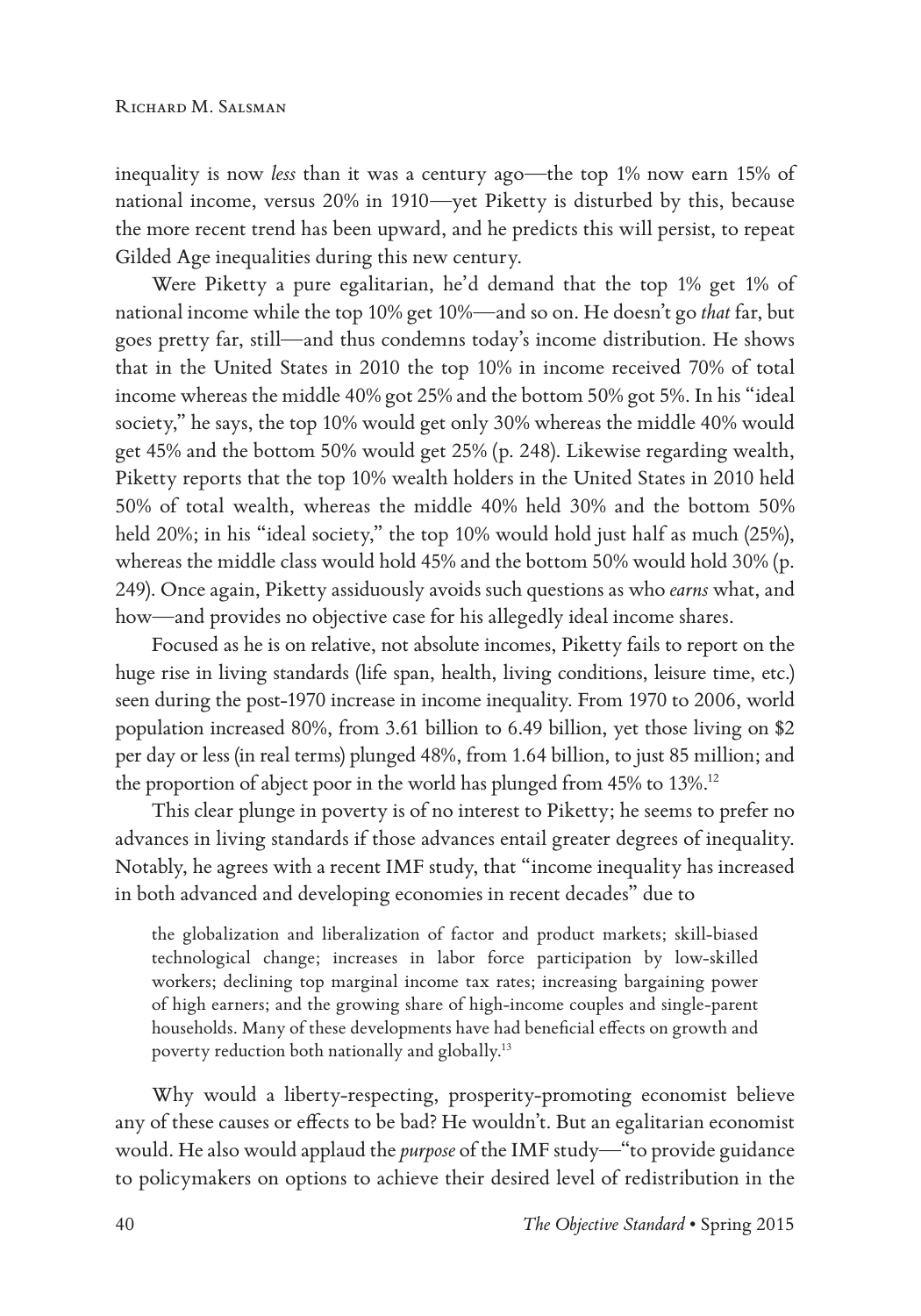inequality is now *less* than it was a century ago—the top 1% now earn 15% of national income, versus 20% in 1910—yet Piketty is disturbed by this, because the more recent trend has been upward, and he predicts this will persist, to repeat Gilded Age inequalities during this new century.

Were Piketty a pure egalitarian, he'd demand that the top 1% get 1% of national income while the top 10% get 10%—and so on. He doesn't go *that* far, but goes pretty far, still—and thus condemns today's income distribution. He shows that in the United States in 2010 the top 10% in income received 70% of total income whereas the middle 40% got 25% and the bottom 50% got 5%. In his "ideal society," he says, the top 10% would get only 30% whereas the middle 40% would get 45% and the bottom 50% would get 25% (p. 248). Likewise regarding wealth, Piketty reports that the top 10% wealth holders in the United States in 2010 held 50% of total wealth, whereas the middle 40% held 30% and the bottom 50% held 20%; in his "ideal society," the top 10% would hold just half as much (25%), whereas the middle class would hold 45% and the bottom 50% would hold 30% (p. 249). Once again, Piketty assiduously avoids such questions as who *earns* what, and how—and provides no objective case for his allegedly ideal income shares.

Focused as he is on relative, not absolute incomes, Piketty fails to report on the huge rise in living standards (life span, health, living conditions, leisure time, etc.) seen during the post-1970 increase in income inequality. From 1970 to 2006, world population increased 80%, from 3.61 billion to 6.49 billion, yet those living on \$2 per day or less (in real terms) plunged 48%, from 1.64 billion, to just 85 million; and the proportion of abject poor in the world has plunged from 45% to 13%.<sup>12</sup>

This clear plunge in poverty is of no interest to Piketty; he seems to prefer no advances in living standards if those advances entail greater degrees of inequality. Notably, he agrees with a recent IMF study, that "income inequality has increased in both advanced and developing economies in recent decades" due to

the globalization and liberalization of factor and product markets; skill-biased technological change; increases in labor force participation by low-skilled workers; declining top marginal income tax rates; increasing bargaining power of high earners; and the growing share of high-income couples and single-parent households. Many of these developments have had beneficial effects on growth and poverty reduction both nationally and globally.13

Why would a liberty-respecting, prosperity-promoting economist believe any of these causes or effects to be bad? He wouldn't. But an egalitarian economist would. He also would applaud the *purpose* of the IMF study—"to provide guidance to policymakers on options to achieve their desired level of redistribution in the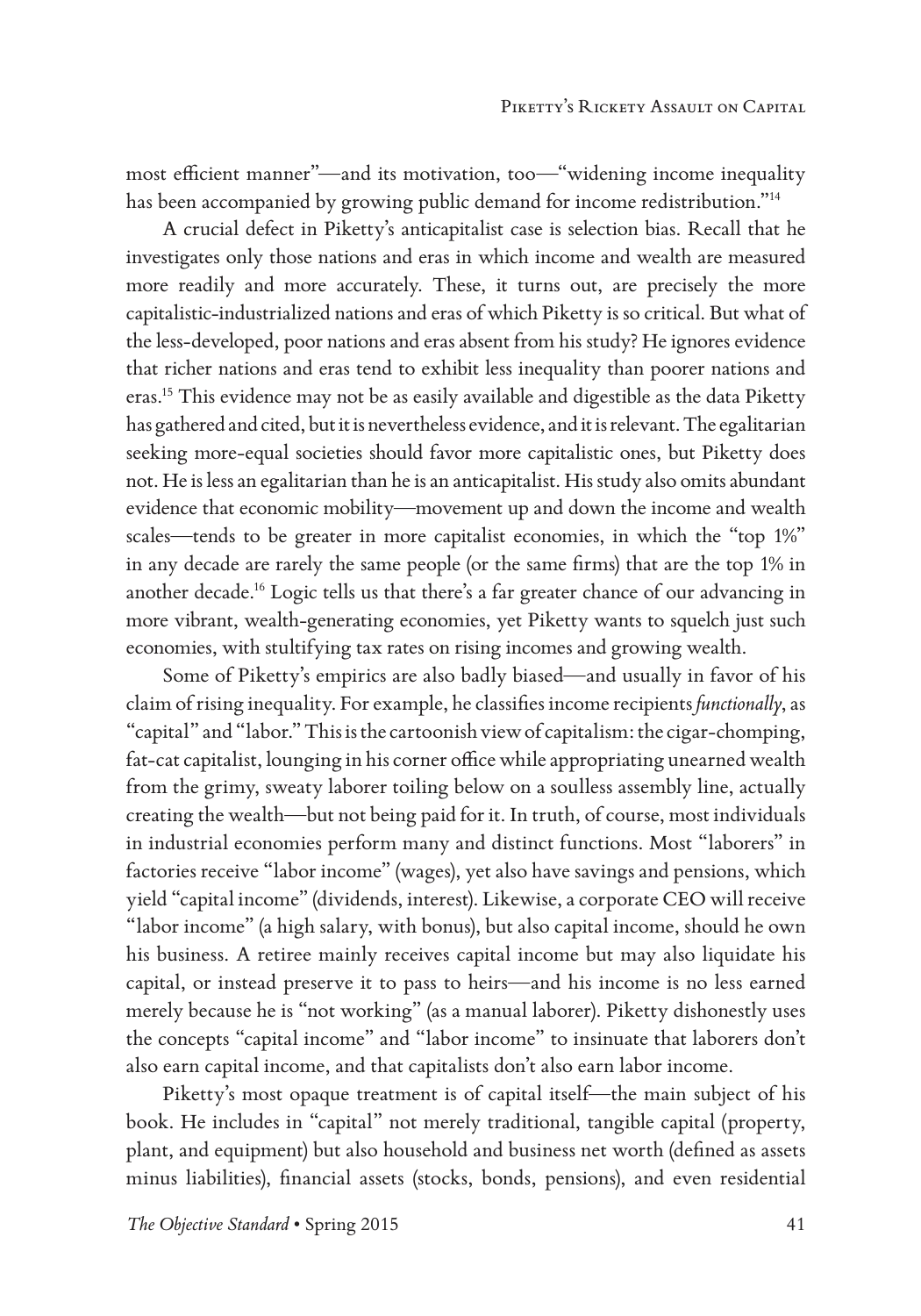most efficient manner"—and its motivation, too—"widening income inequality has been accompanied by growing public demand for income redistribution."14

A crucial defect in Piketty's anticapitalist case is selection bias. Recall that he investigates only those nations and eras in which income and wealth are measured more readily and more accurately. These, it turns out, are precisely the more capitalistic-industrialized nations and eras of which Piketty is so critical. But what of the less-developed, poor nations and eras absent from his study? He ignores evidence that richer nations and eras tend to exhibit less inequality than poorer nations and eras.15 This evidence may not be as easily available and digestible as the data Piketty has gathered and cited, but it is nevertheless evidence, and it is relevant. The egalitarian seeking more-equal societies should favor more capitalistic ones, but Piketty does not. He is less an egalitarian than he is an anticapitalist. His study also omits abundant evidence that economic mobility—movement up and down the income and wealth scales—tends to be greater in more capitalist economies, in which the "top 1%" in any decade are rarely the same people (or the same firms) that are the top 1% in another decade.16 Logic tells us that there's a far greater chance of our advancing in more vibrant, wealth-generating economies, yet Piketty wants to squelch just such economies, with stultifying tax rates on rising incomes and growing wealth.

Some of Piketty's empirics are also badly biased—and usually in favor of his claim of rising inequality. For example, he classifies income recipients *functionally*, as "capital" and "labor." This is the cartoonish view of capitalism: the cigar-chomping, fat-cat capitalist, lounging in his corner office while appropriating unearned wealth from the grimy, sweaty laborer toiling below on a soulless assembly line, actually creating the wealth—but not being paid for it. In truth, of course, most individuals in industrial economies perform many and distinct functions. Most "laborers" in factories receive "labor income" (wages), yet also have savings and pensions, which yield "capital income" (dividends, interest). Likewise, a corporate CEO will receive "labor income" (a high salary, with bonus), but also capital income, should he own his business. A retiree mainly receives capital income but may also liquidate his capital, or instead preserve it to pass to heirs—and his income is no less earned merely because he is "not working" (as a manual laborer). Piketty dishonestly uses the concepts "capital income" and "labor income" to insinuate that laborers don't also earn capital income, and that capitalists don't also earn labor income.

Piketty's most opaque treatment is of capital itself—the main subject of his book. He includes in "capital" not merely traditional, tangible capital (property, plant, and equipment) but also household and business net worth (defined as assets minus liabilities), financial assets (stocks, bonds, pensions), and even residential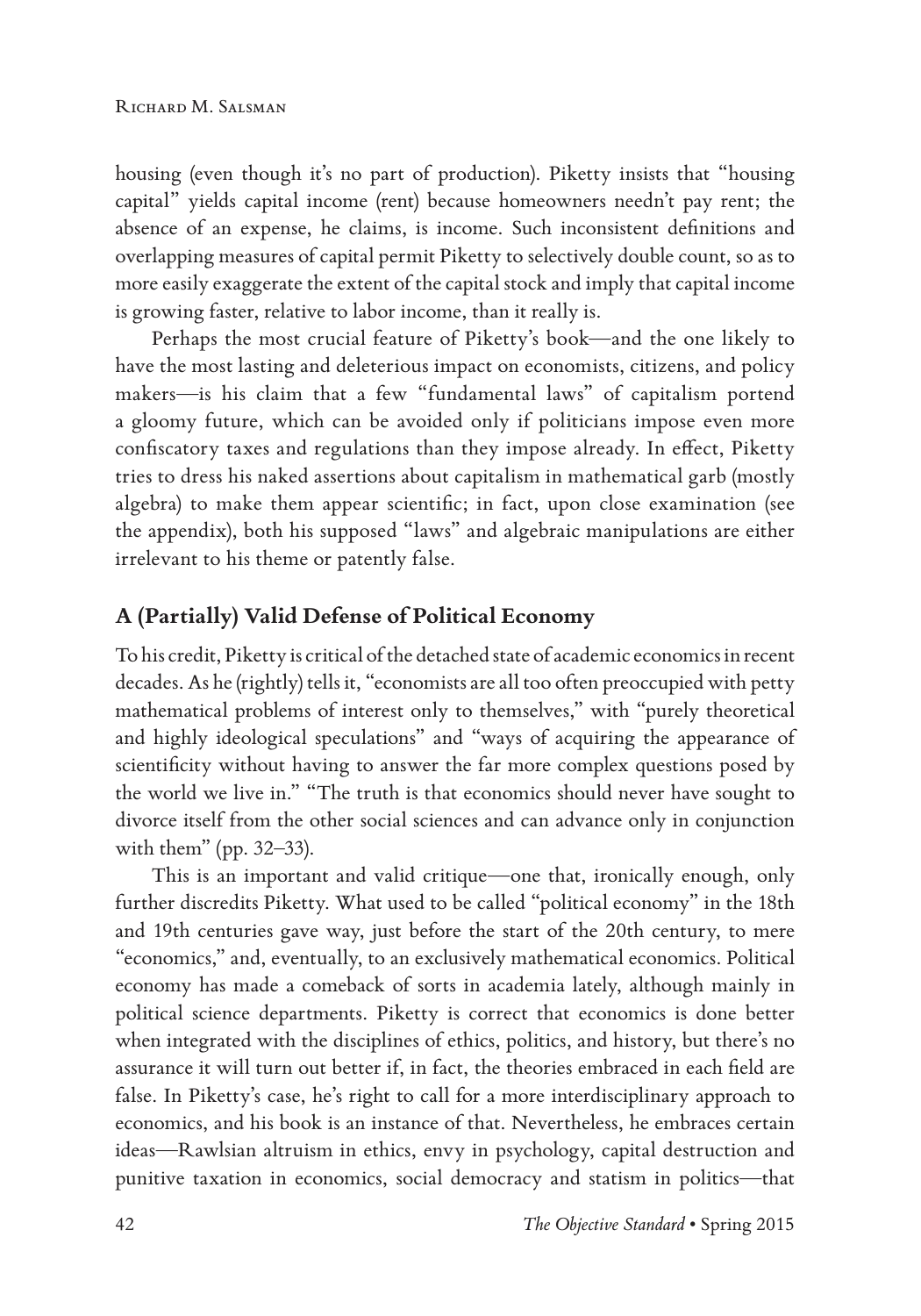housing (even though it's no part of production). Piketty insists that "housing capital" yields capital income (rent) because homeowners needn't pay rent; the absence of an expense, he claims, is income. Such inconsistent definitions and overlapping measures of capital permit Piketty to selectively double count, so as to more easily exaggerate the extent of the capital stock and imply that capital income is growing faster, relative to labor income, than it really is.

Perhaps the most crucial feature of Piketty's book—and the one likely to have the most lasting and deleterious impact on economists, citizens, and policy makers—is his claim that a few "fundamental laws" of capitalism portend a gloomy future, which can be avoided only if politicians impose even more confiscatory taxes and regulations than they impose already. In effect, Piketty tries to dress his naked assertions about capitalism in mathematical garb (mostly algebra) to make them appear scientific; in fact, upon close examination (see the appendix), both his supposed "laws" and algebraic manipulations are either irrelevant to his theme or patently false.

## **A (Partially) Valid Defense of Political Economy**

To his credit, Piketty is critical of the detached state of academic economics in recent decades. As he (rightly) tells it, "economists are all too often preoccupied with petty mathematical problems of interest only to themselves," with "purely theoretical and highly ideological speculations" and "ways of acquiring the appearance of scientificity without having to answer the far more complex questions posed by the world we live in." "The truth is that economics should never have sought to divorce itself from the other social sciences and can advance only in conjunction with them" (pp. 32–33).

This is an important and valid critique—one that, ironically enough, only further discredits Piketty. What used to be called "political economy" in the 18th and 19th centuries gave way, just before the start of the 20th century, to mere "economics," and, eventually, to an exclusively mathematical economics. Political economy has made a comeback of sorts in academia lately, although mainly in political science departments. Piketty is correct that economics is done better when integrated with the disciplines of ethics, politics, and history, but there's no assurance it will turn out better if, in fact, the theories embraced in each field are false. In Piketty's case, he's right to call for a more interdisciplinary approach to economics, and his book is an instance of that. Nevertheless, he embraces certain ideas—Rawlsian altruism in ethics, envy in psychology, capital destruction and punitive taxation in economics, social democracy and statism in politics—that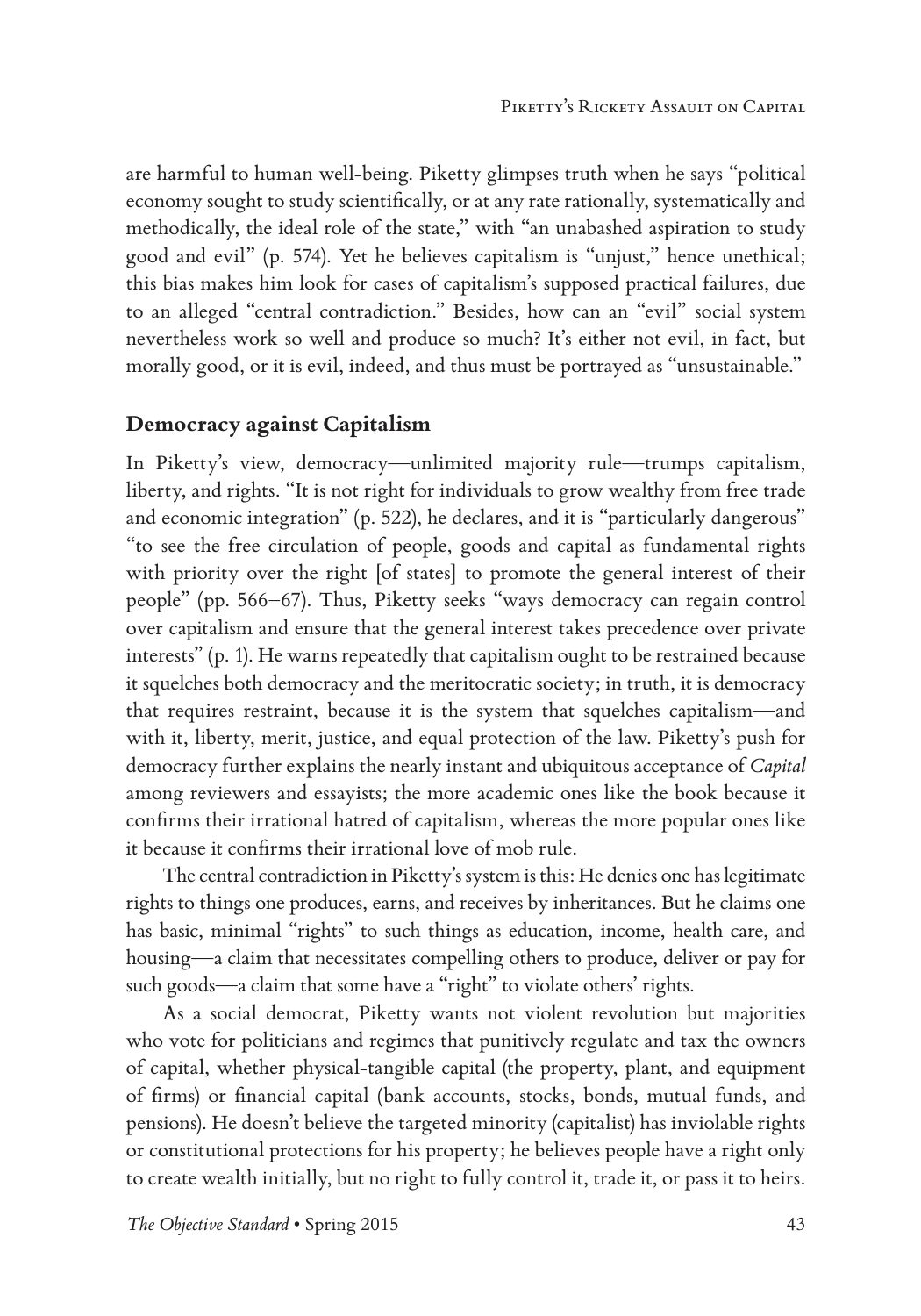are harmful to human well-being. Piketty glimpses truth when he says "political economy sought to study scientifically, or at any rate rationally, systematically and methodically, the ideal role of the state," with "an unabashed aspiration to study good and evil" (p. 574). Yet he believes capitalism is "unjust," hence unethical; this bias makes him look for cases of capitalism's supposed practical failures, due to an alleged "central contradiction." Besides, how can an "evil" social system nevertheless work so well and produce so much? It's either not evil, in fact, but morally good, or it is evil, indeed, and thus must be portrayed as "unsustainable."

#### **Democracy against Capitalism**

In Piketty's view, democracy—unlimited majority rule—trumps capitalism, liberty, and rights. "It is not right for individuals to grow wealthy from free trade and economic integration" (p. 522), he declares, and it is "particularly dangerous" "to see the free circulation of people, goods and capital as fundamental rights with priority over the right [of states] to promote the general interest of their people" (pp. 566–67). Thus, Piketty seeks "ways democracy can regain control over capitalism and ensure that the general interest takes precedence over private interests" (p. 1). He warns repeatedly that capitalism ought to be restrained because it squelches both democracy and the meritocratic society; in truth, it is democracy that requires restraint, because it is the system that squelches capitalism—and with it, liberty, merit, justice, and equal protection of the law. Piketty's push for democracy further explains the nearly instant and ubiquitous acceptance of *Capital* among reviewers and essayists; the more academic ones like the book because it confirms their irrational hatred of capitalism, whereas the more popular ones like it because it confirms their irrational love of mob rule.

The central contradiction in Piketty's system is this: He denies one has legitimate rights to things one produces, earns, and receives by inheritances. But he claims one has basic, minimal "rights" to such things as education, income, health care, and housing—a claim that necessitates compelling others to produce, deliver or pay for such goods—a claim that some have a "right" to violate others' rights.

As a social democrat, Piketty wants not violent revolution but majorities who vote for politicians and regimes that punitively regulate and tax the owners of capital, whether physical-tangible capital (the property, plant, and equipment of firms) or financial capital (bank accounts, stocks, bonds, mutual funds, and pensions). He doesn't believe the targeted minority (capitalist) has inviolable rights or constitutional protections for his property; he believes people have a right only to create wealth initially, but no right to fully control it, trade it, or pass it to heirs.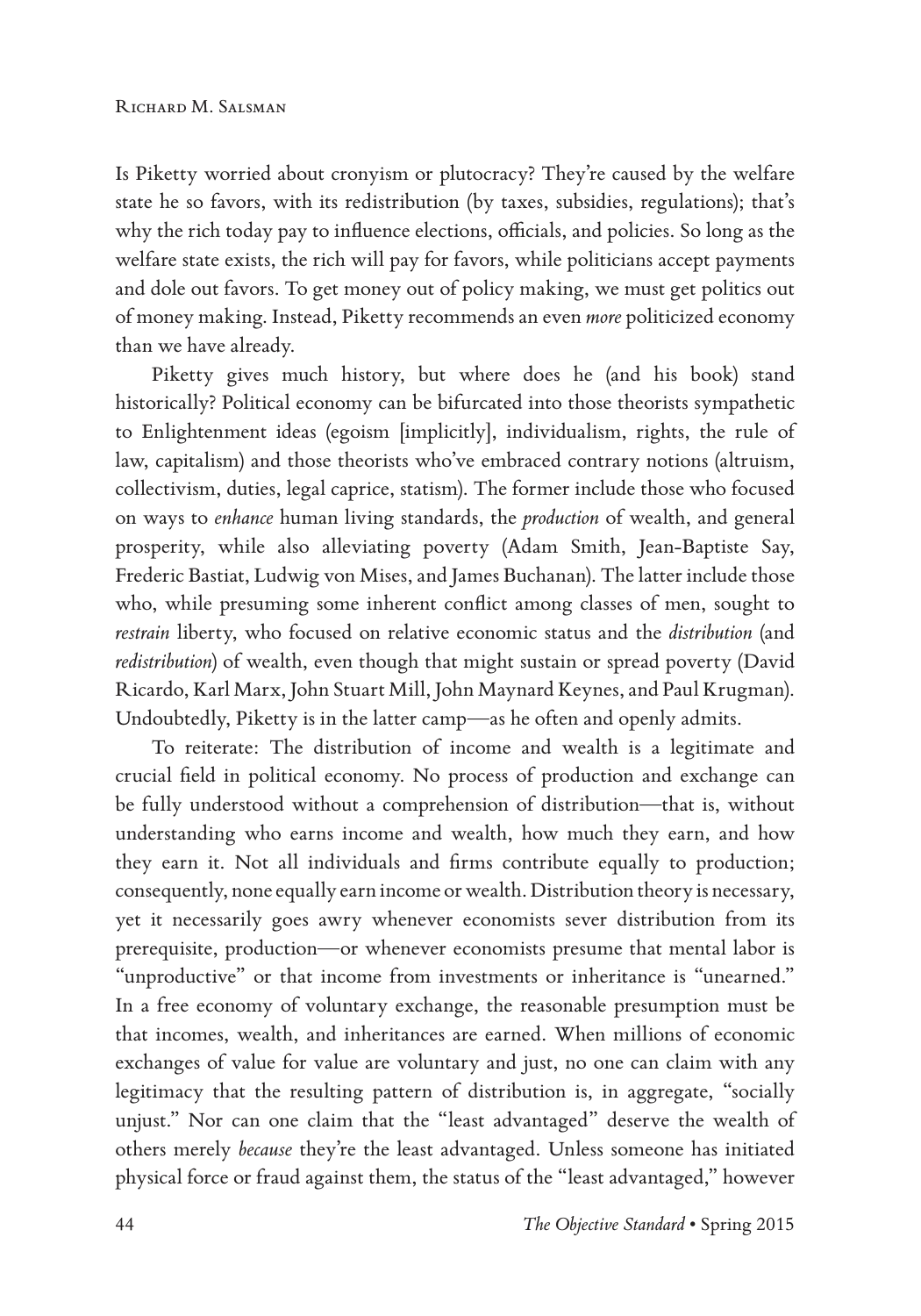Is Piketty worried about cronyism or plutocracy? They're caused by the welfare state he so favors, with its redistribution (by taxes, subsidies, regulations); that's why the rich today pay to influence elections, officials, and policies. So long as the welfare state exists, the rich will pay for favors, while politicians accept payments and dole out favors. To get money out of policy making, we must get politics out of money making. Instead, Piketty recommends an even *more* politicized economy than we have already.

Piketty gives much history, but where does he (and his book) stand historically? Political economy can be bifurcated into those theorists sympathetic to Enlightenment ideas (egoism [implicitly], individualism, rights, the rule of law, capitalism) and those theorists who've embraced contrary notions (altruism, collectivism, duties, legal caprice, statism). The former include those who focused on ways to *enhance* human living standards, the *production* of wealth, and general prosperity, while also alleviating poverty (Adam Smith, Jean-Baptiste Say, Frederic Bastiat, Ludwig von Mises, and James Buchanan). The latter include those who, while presuming some inherent conflict among classes of men, sought to *restrain* liberty, who focused on relative economic status and the *distribution* (and *redistribution*) of wealth, even though that might sustain or spread poverty (David Ricardo, Karl Marx, John Stuart Mill, John Maynard Keynes, and Paul Krugman). Undoubtedly, Piketty is in the latter camp—as he often and openly admits.

To reiterate: The distribution of income and wealth is a legitimate and crucial field in political economy. No process of production and exchange can be fully understood without a comprehension of distribution—that is, without understanding who earns income and wealth, how much they earn, and how they earn it. Not all individuals and firms contribute equally to production; consequently, none equally earn income or wealth. Distribution theory is necessary, yet it necessarily goes awry whenever economists sever distribution from its prerequisite, production—or whenever economists presume that mental labor is "unproductive" or that income from investments or inheritance is "unearned." In a free economy of voluntary exchange, the reasonable presumption must be that incomes, wealth, and inheritances are earned. When millions of economic exchanges of value for value are voluntary and just, no one can claim with any legitimacy that the resulting pattern of distribution is, in aggregate, "socially unjust." Nor can one claim that the "least advantaged" deserve the wealth of others merely *because* they're the least advantaged. Unless someone has initiated physical force or fraud against them, the status of the "least advantaged," however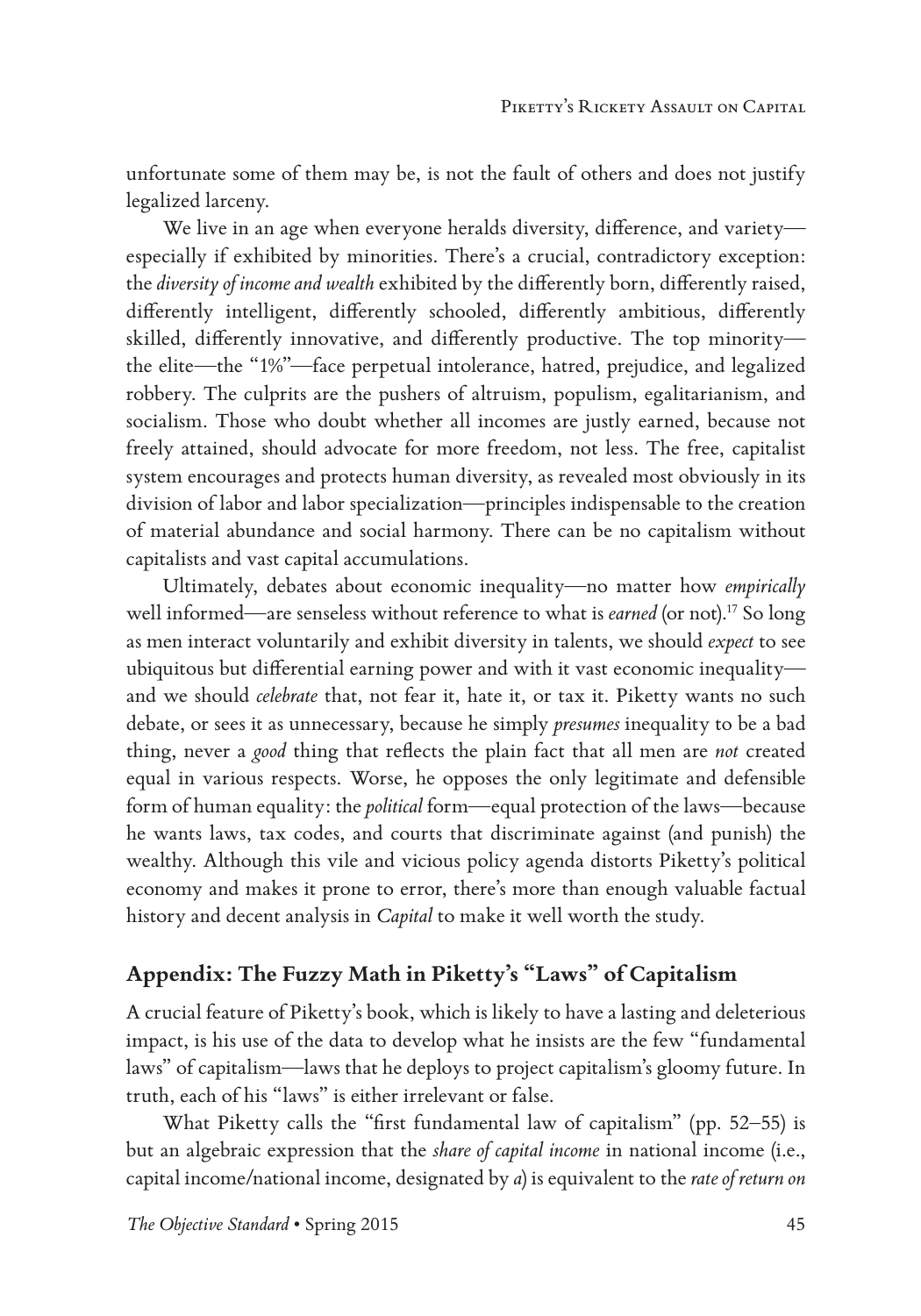unfortunate some of them may be, is not the fault of others and does not justify legalized larceny.

We live in an age when everyone heralds diversity, difference, and variety especially if exhibited by minorities. There's a crucial, contradictory exception: the *diversity of income and wealth* exhibited by the differently born, differently raised, differently intelligent, differently schooled, differently ambitious, differently skilled, differently innovative, and differently productive. The top minority the elite—the "1%"—face perpetual intolerance, hatred, prejudice, and legalized robbery. The culprits are the pushers of altruism, populism, egalitarianism, and socialism. Those who doubt whether all incomes are justly earned, because not freely attained, should advocate for more freedom, not less. The free, capitalist system encourages and protects human diversity, as revealed most obviously in its division of labor and labor specialization—principles indispensable to the creation of material abundance and social harmony. There can be no capitalism without capitalists and vast capital accumulations.

Ultimately, debates about economic inequality—no matter how *empirically* well informed—are senseless without reference to what is *earned* (or not).<sup>17</sup> So long as men interact voluntarily and exhibit diversity in talents, we should *expect* to see ubiquitous but differential earning power and with it vast economic inequality and we should *celebrate* that, not fear it, hate it, or tax it. Piketty wants no such debate, or sees it as unnecessary, because he simply *presumes* inequality to be a bad thing, never a *good* thing that reflects the plain fact that all men are *not* created equal in various respects. Worse, he opposes the only legitimate and defensible form of human equality: the *political* form—equal protection of the laws—because he wants laws, tax codes, and courts that discriminate against (and punish) the wealthy. Although this vile and vicious policy agenda distorts Piketty's political economy and makes it prone to error, there's more than enough valuable factual history and decent analysis in *Capital* to make it well worth the study.

# **Appendix: The Fuzzy Math in Piketty's "Laws" of Capitalism**

A crucial feature of Piketty's book, which is likely to have a lasting and deleterious impact, is his use of the data to develop what he insists are the few "fundamental laws" of capitalism—laws that he deploys to project capitalism's gloomy future. In truth, each of his "laws" is either irrelevant or false.

What Piketty calls the "first fundamental law of capitalism" (pp. 52–55) is but an algebraic expression that the *share of capital income* in national income (i.e., capital income/national income, designated by *a*) is equivalent to the *rate of return on*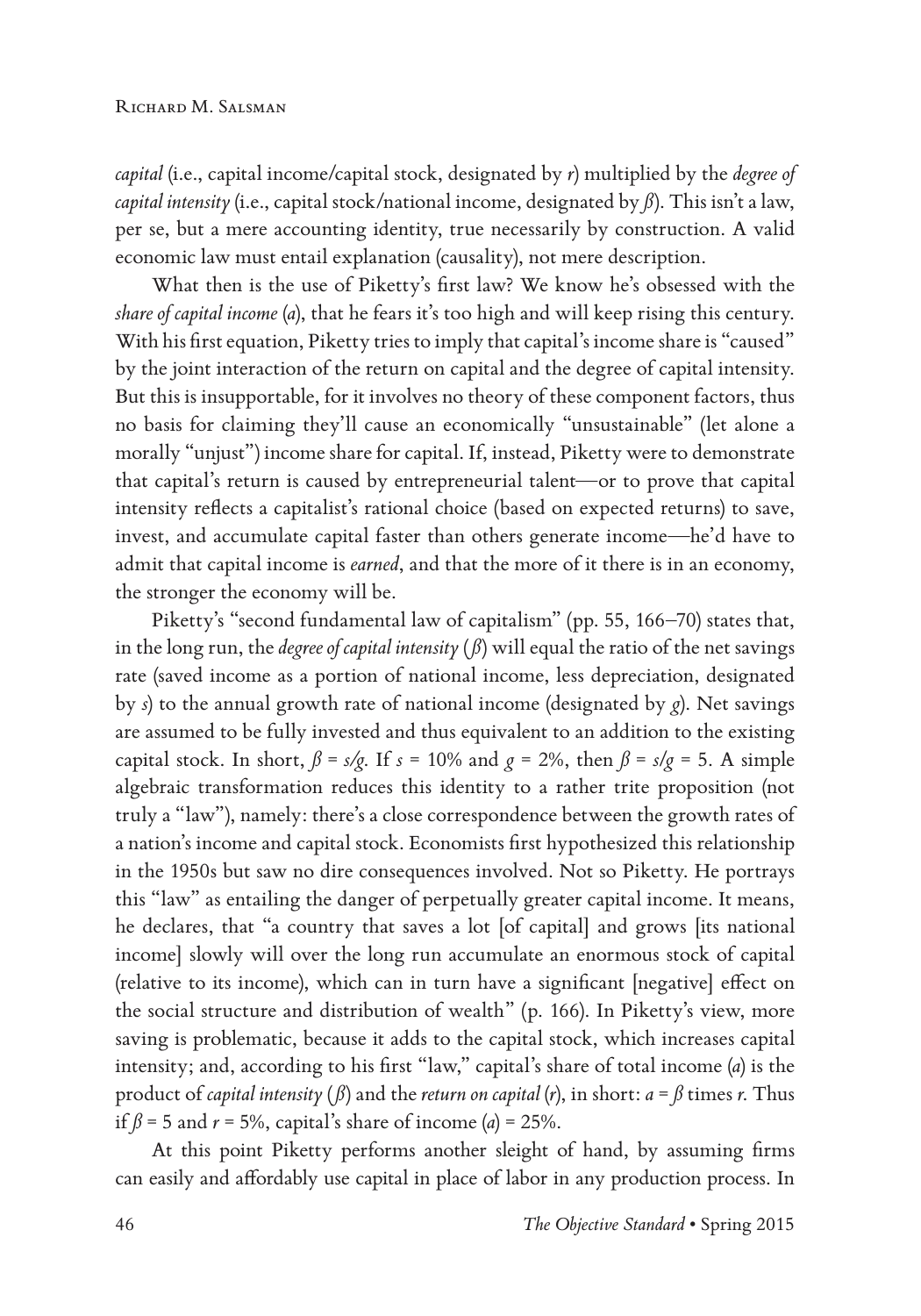*capital* (i.e., capital income/capital stock, designated by *r*) multiplied by the *degree of capital intensity* (i.e., capital stock/national income, designated by *ß*). This isn't a law, per se, but a mere accounting identity, true necessarily by construction. A valid economic law must entail explanation (causality), not mere description.

What then is the use of Piketty's first law? We know he's obsessed with the *share of capital income* (*a*), that he fears it's too high and will keep rising this century. With his first equation, Piketty tries to imply that capital's income share is "caused" by the joint interaction of the return on capital and the degree of capital intensity. But this is insupportable, for it involves no theory of these component factors, thus no basis for claiming they'll cause an economically "unsustainable" (let alone a morally "unjust") income share for capital. If, instead, Piketty were to demonstrate that capital's return is caused by entrepreneurial talent—or to prove that capital intensity reflects a capitalist's rational choice (based on expected returns) to save, invest, and accumulate capital faster than others generate income—he'd have to admit that capital income is *earned*, and that the more of it there is in an economy, the stronger the economy will be.

Piketty's "second fundamental law of capitalism" (pp. 55, 166–70) states that, in the long run, the *degree of capital intensity* ( $\beta$ ) will equal the ratio of the net savings rate (saved income as a portion of national income, less depreciation, designated by *s*) to the annual growth rate of national income (designated by *g*). Net savings are assumed to be fully invested and thus equivalent to an addition to the existing capital stock. In short,  $\beta = s/g$ . If  $s = 10\%$  and  $g = 2\%$ , then  $\beta = s/g = 5$ . A simple algebraic transformation reduces this identity to a rather trite proposition (not truly a "law"), namely: there's a close correspondence between the growth rates of a nation's income and capital stock. Economists first hypothesized this relationship in the 1950s but saw no dire consequences involved. Not so Piketty. He portrays this "law" as entailing the danger of perpetually greater capital income. It means, he declares, that "a country that saves a lot [of capital] and grows [its national income] slowly will over the long run accumulate an enormous stock of capital (relative to its income), which can in turn have a significant [negative] effect on the social structure and distribution of wealth" (p. 166). In Piketty's view, more saving is problematic, because it adds to the capital stock, which increases capital intensity; and, according to his first "law," capital's share of total income (*a*) is the product of *capital intensity* ( $\beta$ ) and the *return on capital* (*r*), in short:  $a = \beta$  times *r*. Thus if  $\beta$  = 5 and  $r$  = 5%, capital's share of income (*a*) = 25%.

At this point Piketty performs another sleight of hand, by assuming firms can easily and affordably use capital in place of labor in any production process. In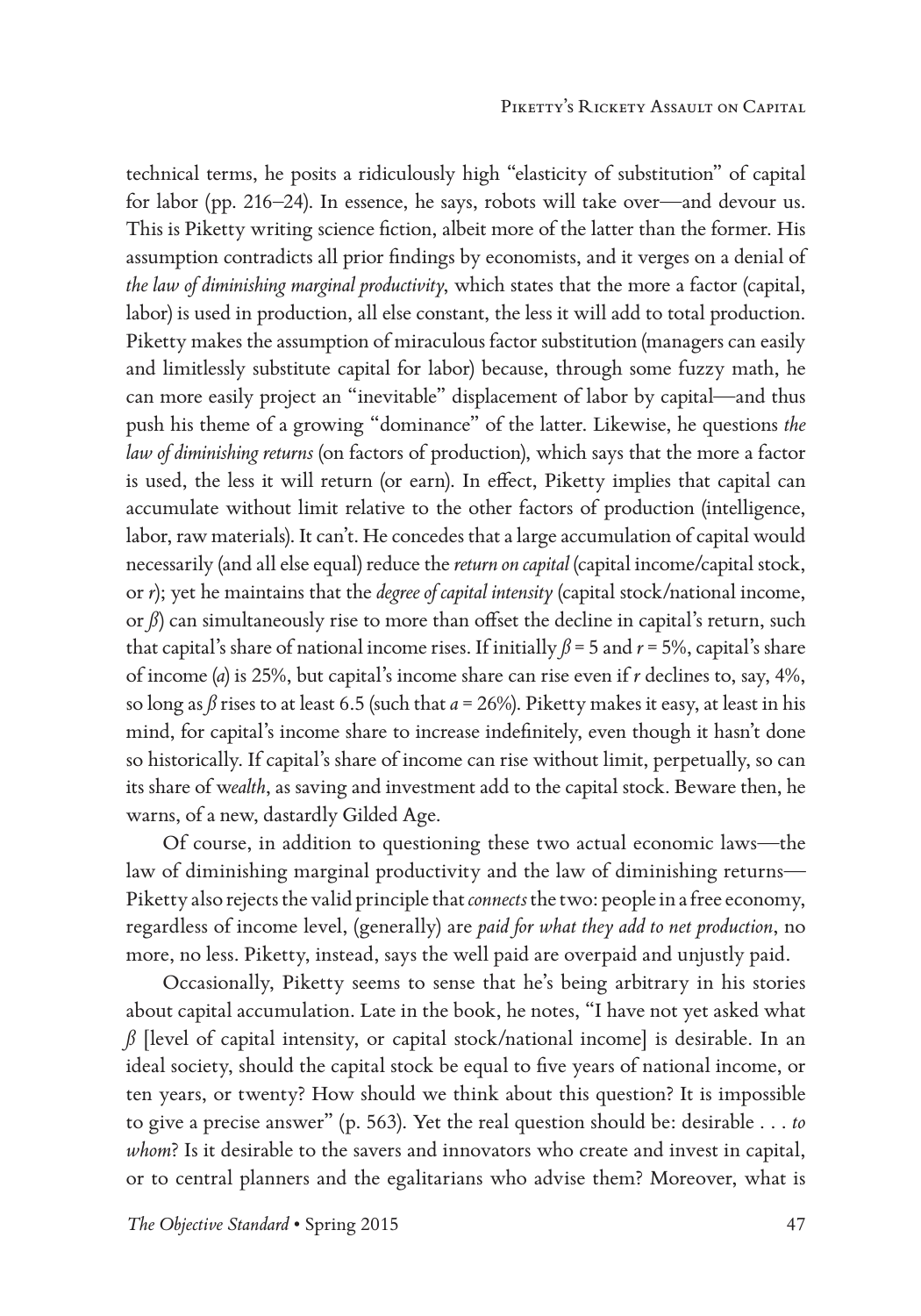technical terms, he posits a ridiculously high "elasticity of substitution" of capital for labor (pp. 216–24). In essence, he says, robots will take over—and devour us. This is Piketty writing science fiction, albeit more of the latter than the former. His assumption contradicts all prior findings by economists, and it verges on a denial of *the law of diminishing marginal productivity*, which states that the more a factor (capital, labor) is used in production, all else constant, the less it will add to total production. Piketty makes the assumption of miraculous factor substitution (managers can easily and limitlessly substitute capital for labor) because, through some fuzzy math, he can more easily project an "inevitable" displacement of labor by capital—and thus push his theme of a growing "dominance" of the latter. Likewise, he questions *the law of diminishing returns* (on factors of production), which says that the more a factor is used, the less it will return (or earn). In effect, Piketty implies that capital can accumulate without limit relative to the other factors of production (intelligence, labor, raw materials). It can't. He concedes that a large accumulation of capital would necessarily (and all else equal) reduce the *return on capital* (capital income/capital stock, or *r*); yet he maintains that the *degree of capital intensity* (capital stock/national income, or  $\beta$ ) can simultaneously rise to more than offset the decline in capital's return, such that capital's share of national income rises. If initially  $\beta$  = 5 and  $r$  = 5%, capital's share of income (*a*) is 25%, but capital's income share can rise even if *r* declines to, say, 4%, so long as  $\beta$  rises to at least 6.5 (such that  $a = 26\%$ ). Piketty makes it easy, at least in his mind, for capital's income share to increase indefinitely, even though it hasn't done so historically. If capital's share of income can rise without limit, perpetually, so can its share of w*ealth*, as saving and investment add to the capital stock. Beware then, he warns, of a new, dastardly Gilded Age.

Of course, in addition to questioning these two actual economic laws—the law of diminishing marginal productivity and the law of diminishing returns— Piketty also rejects the valid principle that *connects* the two: people in a free economy, regardless of income level, (generally) are *paid for what they add to net production*, no more, no less. Piketty, instead, says the well paid are overpaid and unjustly paid.

Occasionally, Piketty seems to sense that he's being arbitrary in his stories about capital accumulation. Late in the book, he notes, "I have not yet asked what  $\beta$  [level of capital intensity, or capital stock/national income] is desirable. In an ideal society, should the capital stock be equal to five years of national income, or ten years, or twenty? How should we think about this question? It is impossible to give a precise answer" (p. 563). Yet the real question should be: desirable . . . *to whom*? Is it desirable to the savers and innovators who create and invest in capital, or to central planners and the egalitarians who advise them? Moreover, what is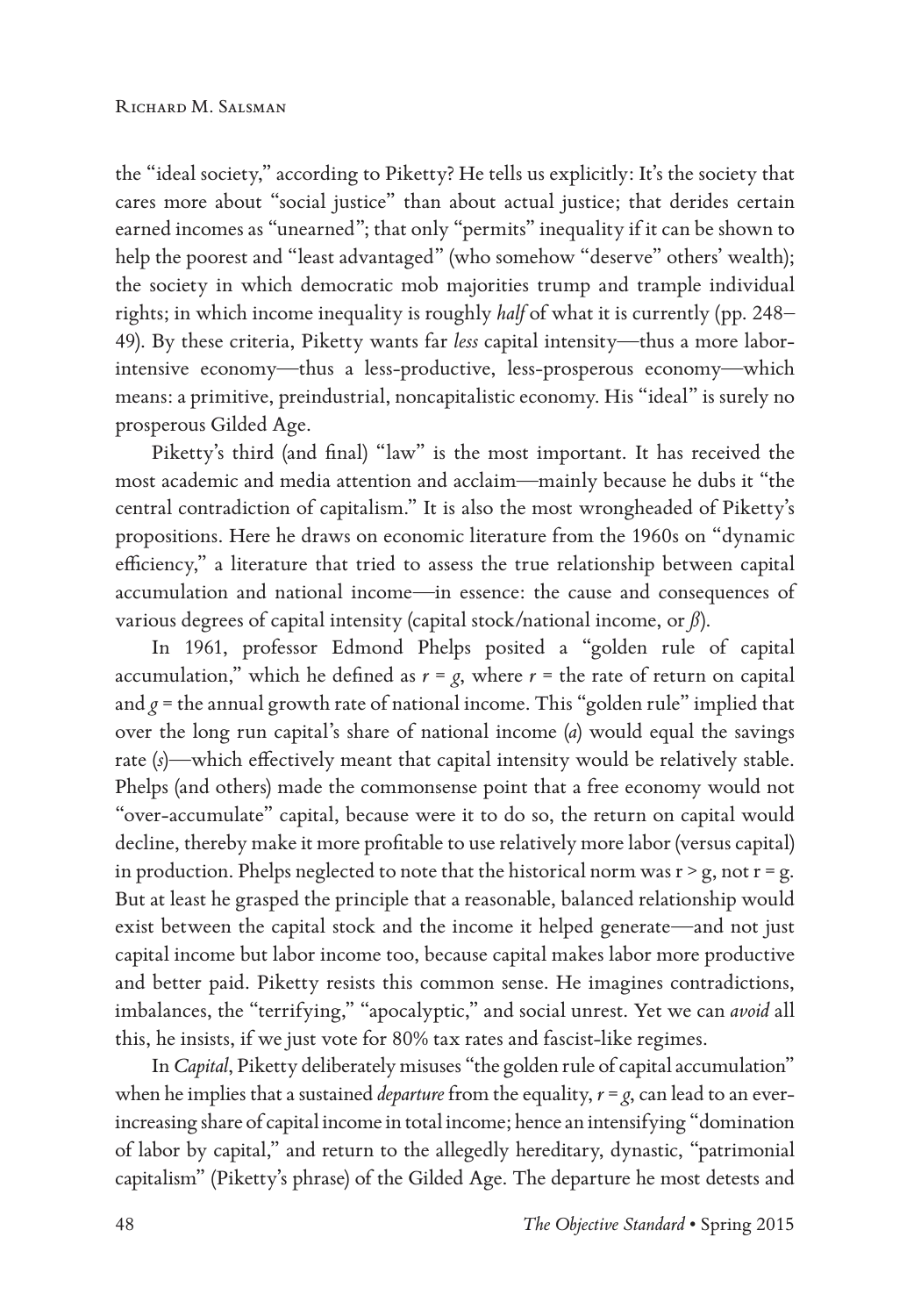the "ideal society," according to Piketty? He tells us explicitly: It's the society that cares more about "social justice" than about actual justice; that derides certain earned incomes as "unearned"; that only "permits" inequality if it can be shown to help the poorest and "least advantaged" (who somehow "deserve" others' wealth); the society in which democratic mob majorities trump and trample individual rights; in which income inequality is roughly *half* of what it is currently (pp. 248– 49). By these criteria, Piketty wants far *less* capital intensity—thus a more laborintensive economy—thus a less-productive, less-prosperous economy—which means: a primitive, preindustrial, noncapitalistic economy. His "ideal" is surely no prosperous Gilded Age.

Piketty's third (and final) "law" is the most important. It has received the most academic and media attention and acclaim—mainly because he dubs it "the central contradiction of capitalism." It is also the most wrongheaded of Piketty's propositions. Here he draws on economic literature from the 1960s on "dynamic efficiency," a literature that tried to assess the true relationship between capital accumulation and national income—in essence: the cause and consequences of various degrees of capital intensity (capital stock/national income, or *ß*).

In 1961, professor Edmond Phelps posited a "golden rule of capital accumulation," which he defined as  $r = g$ , where  $r =$  the rate of return on capital and  $g$  = the annual growth rate of national income. This "golden rule" implied that over the long run capital's share of national income (*a*) would equal the savings rate (*s*)—which effectively meant that capital intensity would be relatively stable. Phelps (and others) made the commonsense point that a free economy would not "over-accumulate" capital, because were it to do so, the return on capital would decline, thereby make it more profitable to use relatively more labor (versus capital) in production. Phelps neglected to note that the historical norm was  $r > g$ , not  $r = g$ . But at least he grasped the principle that a reasonable, balanced relationship would exist between the capital stock and the income it helped generate—and not just capital income but labor income too, because capital makes labor more productive and better paid. Piketty resists this common sense. He imagines contradictions, imbalances, the "terrifying," "apocalyptic," and social unrest. Yet we can *avoid* all this, he insists, if we just vote for 80% tax rates and fascist-like regimes.

In *Capital*, Piketty deliberately misuses "the golden rule of capital accumulation" when he implies that a sustained *departure* from the equality,  $r = g$ , can lead to an everincreasing share of capital income in total income; hence an intensifying "domination of labor by capital," and return to the allegedly hereditary, dynastic, "patrimonial capitalism" (Piketty's phrase) of the Gilded Age. The departure he most detests and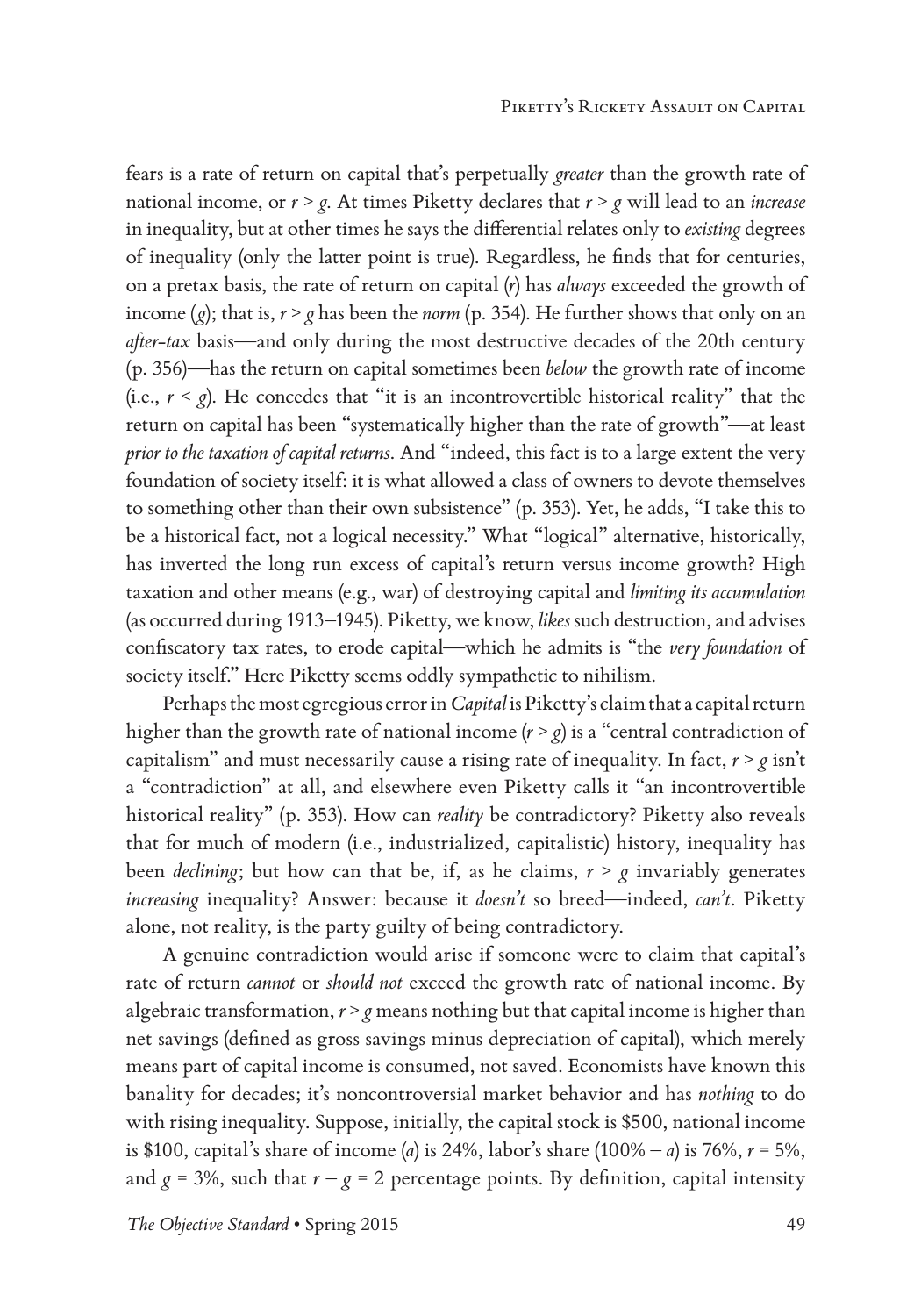fears is a rate of return on capital that's perpetually *greater* than the growth rate of national income, or *r* > *g*. At times Piketty declares that *r* > *g* will lead to an *increase* in inequality, but at other times he says the differential relates only to *existing* degrees of inequality (only the latter point is true). Regardless, he finds that for centuries, on a pretax basis, the rate of return on capital (*r*) has *always* exceeded the growth of income  $(g)$ ; that is,  $r > g$  has been the *norm* (p. 354). He further shows that only on an *after-tax* basis—and only during the most destructive decades of the 20th century (p. 356)—has the return on capital sometimes been *below* the growth rate of income (i.e.,  $r < g$ ). He concedes that "it is an incontrovertible historical reality" that the return on capital has been "systematically higher than the rate of growth"—at least *prior to the taxation of capital returns*. And "indeed, this fact is to a large extent the very foundation of society itself: it is what allowed a class of owners to devote themselves to something other than their own subsistence" (p. 353). Yet, he adds, "I take this to be a historical fact, not a logical necessity." What "logical" alternative, historically, has inverted the long run excess of capital's return versus income growth? High taxation and other means (e.g., war) of destroying capital and *limiting its accumulation* (as occurred during 1913–1945). Piketty, we know, *likes* such destruction, and advises confiscatory tax rates, to erode capital—which he admits is "the *very foundation* of society itself." Here Piketty seems oddly sympathetic to nihilism.

Perhaps the most egregious error in *Capital* is Piketty's claim that a capital return higher than the growth rate of national income  $(r > g)$  is a "central contradiction of capitalism" and must necessarily cause a rising rate of inequality. In fact,  $r > g$  isn't a "contradiction" at all, and elsewhere even Piketty calls it "an incontrovertible historical reality" (p. 353). How can *reality* be contradictory? Piketty also reveals that for much of modern (i.e., industrialized, capitalistic) history, inequality has been *declining*; but how can that be, if, as he claims, *r* > *g* invariably generates *increasing* inequality? Answer: because it *doesn't* so breed—indeed, *can't*. Piketty alone, not reality, is the party guilty of being contradictory.

A genuine contradiction would arise if someone were to claim that capital's rate of return *cannot* or *should not* exceed the growth rate of national income. By algebraic transformation, *r* > *g* means nothing but that capital income is higher than net savings (defined as gross savings minus depreciation of capital), which merely means part of capital income is consumed, not saved. Economists have known this banality for decades; it's noncontroversial market behavior and has *nothing* to do with rising inequality. Suppose, initially, the capital stock is \$500, national income is \$100, capital's share of income (*a*) is 24%, labor's share (100% – *a*) is 76%, *r* = 5%, and  $g = 3\%$ , such that  $r - g = 2$  percentage points. By definition, capital intensity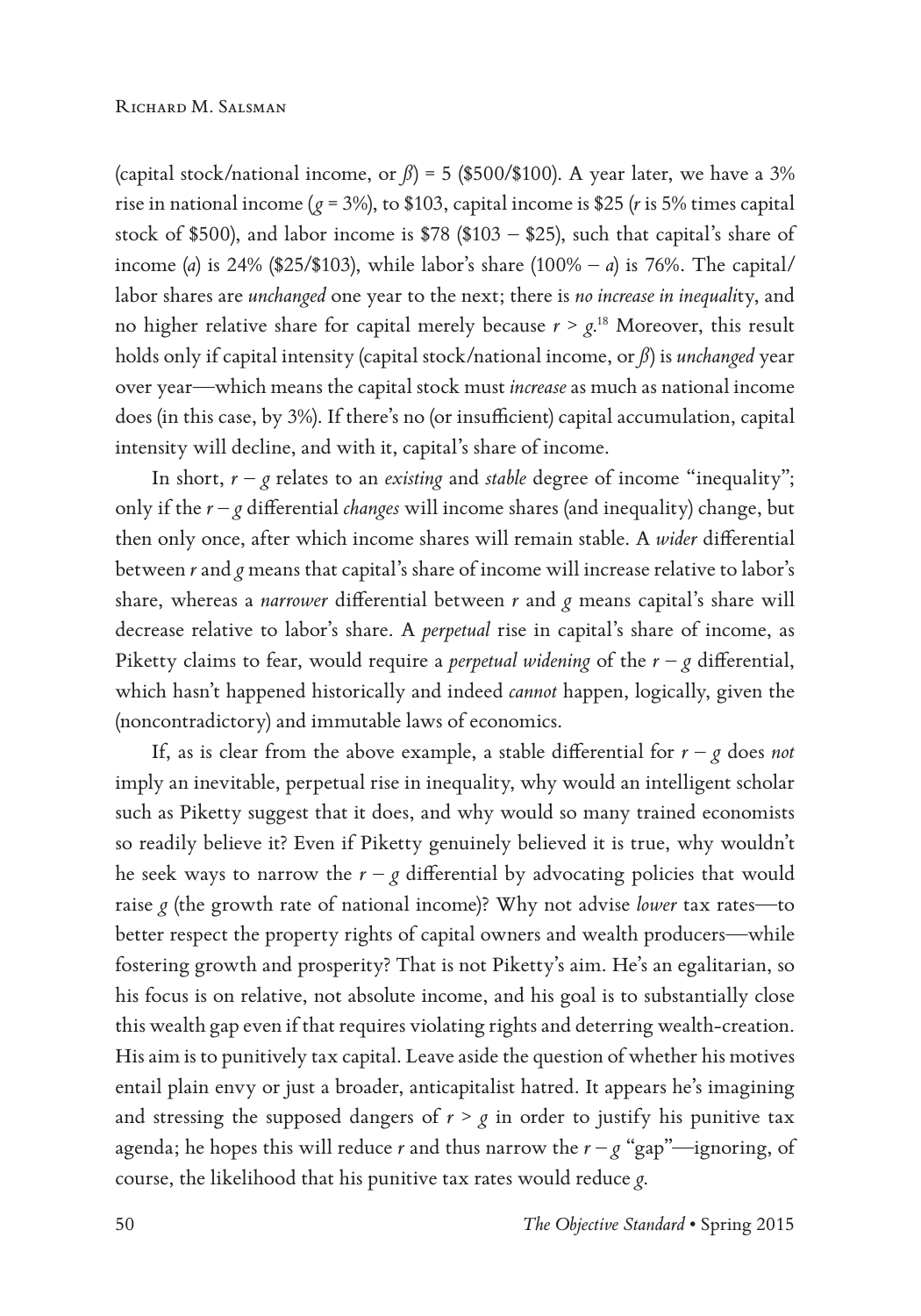(capital stock/national income, or  $\beta$ ) = 5 (\$500/\$100). A year later, we have a 3% rise in national income ( $g = 3\%$ ), to \$103, capital income is \$25 (*r* is 5% times capital stock of \$500), and labor income is \$78 (\$103 – \$25), such that capital's share of income (*a*) is 24% (\$25/\$103), while labor's share (100% – *a*) is 76%. The capital/ labor shares are *unchanged* one year to the next; there is *no increase in inequali*ty, and no higher relative share for capital merely because  $r > g$ .<sup>18</sup> Moreover, this result holds only if capital intensity (capital stock/national income, or *ß*) is *unchanged* year over year—which means the capital stock must *increase* as much as national income does (in this case, by 3%). If there's no (or insufficient) capital accumulation, capital intensity will decline, and with it, capital's share of income.

In short,  $r - g$  relates to an *existing* and *stable* degree of income "inequality"; only if the *r* – *g* differential *changes* will income shares (and inequality) change, but then only once, after which income shares will remain stable. A *wider* differential between *r* and *g* means that capital's share of income will increase relative to labor's share, whereas a *narrower* differential between *r* and *g* means capital's share will decrease relative to labor's share. A *perpetual* rise in capital's share of income, as Piketty claims to fear, would require a *perpetual widening* of the  $r - g$  differential, which hasn't happened historically and indeed *cannot* happen, logically, given the (noncontradictory) and immutable laws of economics.

If, as is clear from the above example, a stable differential for  $r - g$  does *not* imply an inevitable, perpetual rise in inequality, why would an intelligent scholar such as Piketty suggest that it does, and why would so many trained economists so readily believe it? Even if Piketty genuinely believed it is true, why wouldn't he seek ways to narrow the  $r - g$  differential by advocating policies that would raise *g* (the growth rate of national income)? Why not advise *lower* tax rates—to better respect the property rights of capital owners and wealth producers—while fostering growth and prosperity? That is not Piketty's aim. He's an egalitarian, so his focus is on relative, not absolute income, and his goal is to substantially close this wealth gap even if that requires violating rights and deterring wealth-creation. His aim is to punitively tax capital. Leave aside the question of whether his motives entail plain envy or just a broader, anticapitalist hatred. It appears he's imagining and stressing the supposed dangers of  $r > g$  in order to justify his punitive tax agenda; he hopes this will reduce *r* and thus narrow the  $r - g$  "gap"—ignoring, of course, the likelihood that his punitive tax rates would reduce *g*.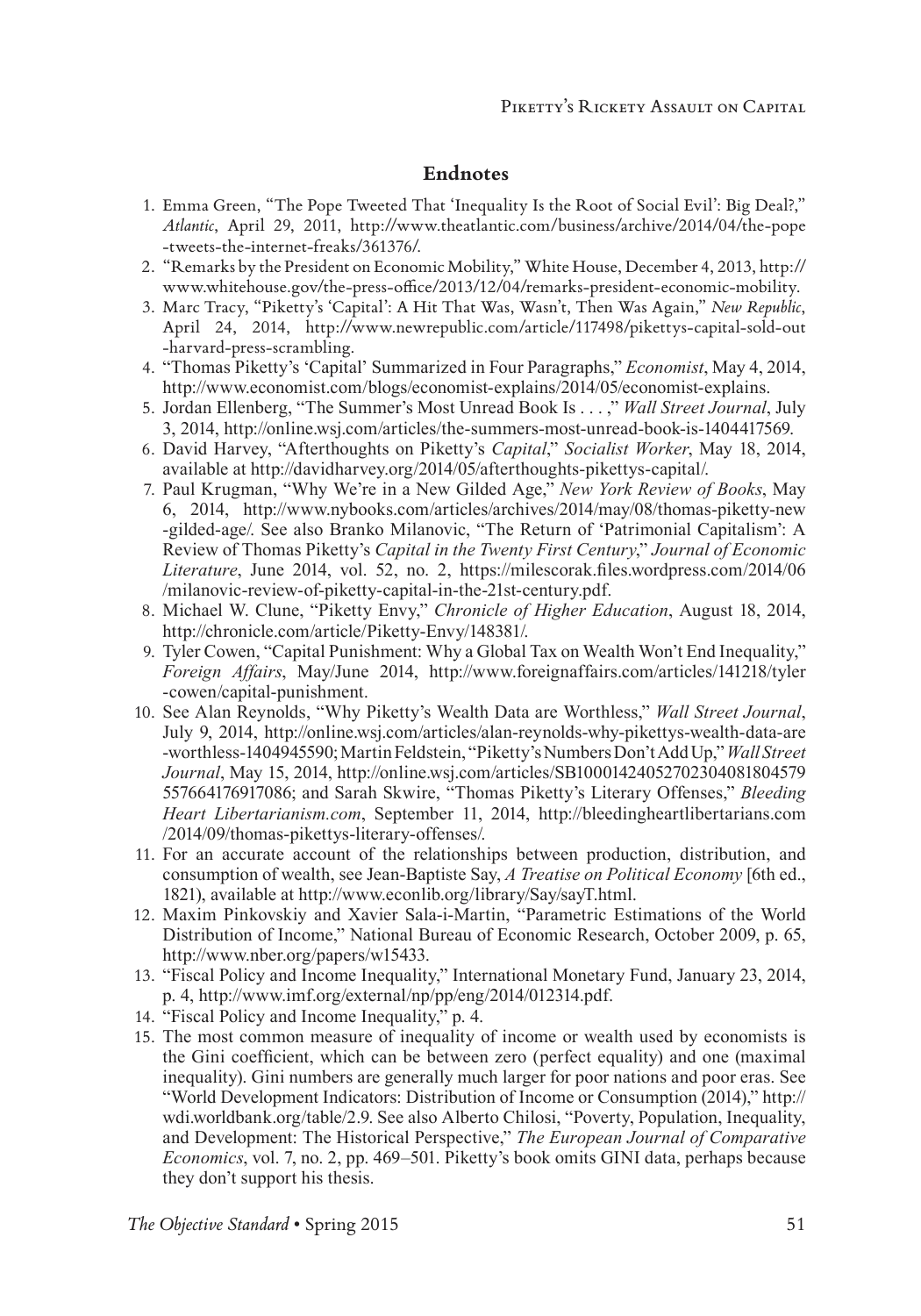#### **Endnotes**

- 1. Emma Green, "The Pope Tweeted That 'Inequality Is the Root of Social Evil': Big Deal?," *Atlantic*, April 29, 2011, http://www.theatlantic.com/business/archive/2014/04/the-pope -tweets-the-internet-freaks/361376/.
- 2. "Remarks by the President on Economic Mobility," White House, December 4, 2013, http:// www.whitehouse.gov/the-press-office/2013/12/04/remarks-president-economic-mobility.
- 3. Marc Tracy, "Piketty's 'Capital': A Hit That Was, Wasn't, Then Was Again," *New Republic*, April 24, 2014, http://www.newrepublic.com/article/117498/pikettys-capital-sold-out -harvard-press-scrambling.
- 4. "Thomas Piketty's 'Capital' Summarized in Four Paragraphs," *Economist*, May 4, 2014, http://www.economist.com/blogs/economist-explains/2014/05/economist-explains.
- 5. Jordan Ellenberg, "The Summer's Most Unread Book Is . . . ," *Wall Street Journal*, July 3, 2014, http://online.wsj.com/articles/the-summers-most-unread-book-is-1404417569.
- 6. David Harvey, "Afterthoughts on Piketty's *Capital*," *Socialist Worker*, May 18, 2014, available at http://davidharvey.org/2014/05/afterthoughts-pikettys-capital/.
- 7. Paul Krugman, "Why We're in a New Gilded Age," *New York Review of Books*, May 6, 2014, http://www.nybooks.com/articles/archives/2014/may/08/thomas-piketty-new -gilded-age/. See also Branko Milanovic, "The Return of 'Patrimonial Capitalism': A Review of Thomas Piketty's *Capital in the Twenty First Century*," *Journal of Economic Literature*, June 2014, vol. 52, no. 2, https://milescorak.files.wordpress.com/2014/06 /milanovic-review-of-piketty-capital-in-the-21st-century.pdf.
- 8. Michael W. Clune, "Piketty Envy," *Chronicle of Higher Education*, August 18, 2014, http://chronicle.com/article/Piketty-Envy/148381/.
- 9. Tyler Cowen, "Capital Punishment: Why a Global Tax on Wealth Won't End Inequality," *Foreign Affairs*, May/June 2014, http://www.foreignaffairs.com/articles/141218/tyler -cowen/capital-punishment.
- 10. See Alan Reynolds, "Why Piketty's Wealth Data are Worthless," *Wall Street Journal*, July 9, 2014, http://online.wsj.com/articles/alan-reynolds-why-pikettys-wealth-data-are -worthless-1404945590; Martin Feldstein, "Piketty's Numbers Don't Add Up," *Wall Street Journal*, May 15, 2014, http://online.wsj.com/articles/SB10001424052702304081804579 557664176917086; and Sarah Skwire, "Thomas Piketty's Literary Offenses," *Bleeding Heart Libertarianism.com*, September 11, 2014, http://bleedingheartlibertarians.com /2014/09/thomas-pikettys-literary-offenses/.
- 11. For an accurate account of the relationships between production, distribution, and consumption of wealth, see Jean-Baptiste Say, *A Treatise on Political Economy* [6th ed., 1821), available at http://www.econlib.org/library/Say/sayT.html.
- 12. Maxim Pinkovskiy and Xavier Sala-i-Martin, "Parametric Estimations of the World Distribution of Income," National Bureau of Economic Research, October 2009, p. 65, http://www.nber.org/papers/w15433.
- 13. "Fiscal Policy and Income Inequality," International Monetary Fund, January 23, 2014, p. 4, http://www.imf.org/external/np/pp/eng/2014/012314.pdf.
- 14. "Fiscal Policy and Income Inequality," p. 4.
- 15. The most common measure of inequality of income or wealth used by economists is the Gini coefficient, which can be between zero (perfect equality) and one (maximal inequality). Gini numbers are generally much larger for poor nations and poor eras. See "World Development Indicators: Distribution of Income or Consumption (2014)," http:// wdi.worldbank.org/table/2.9. See also Alberto Chilosi, "Poverty, Population, Inequality, and Development: The Historical Perspective," *The European Journal of Comparative Economics*, vol. 7, no. 2, pp. 469–501. Piketty's book omits GINI data, perhaps because they don't support his thesis.